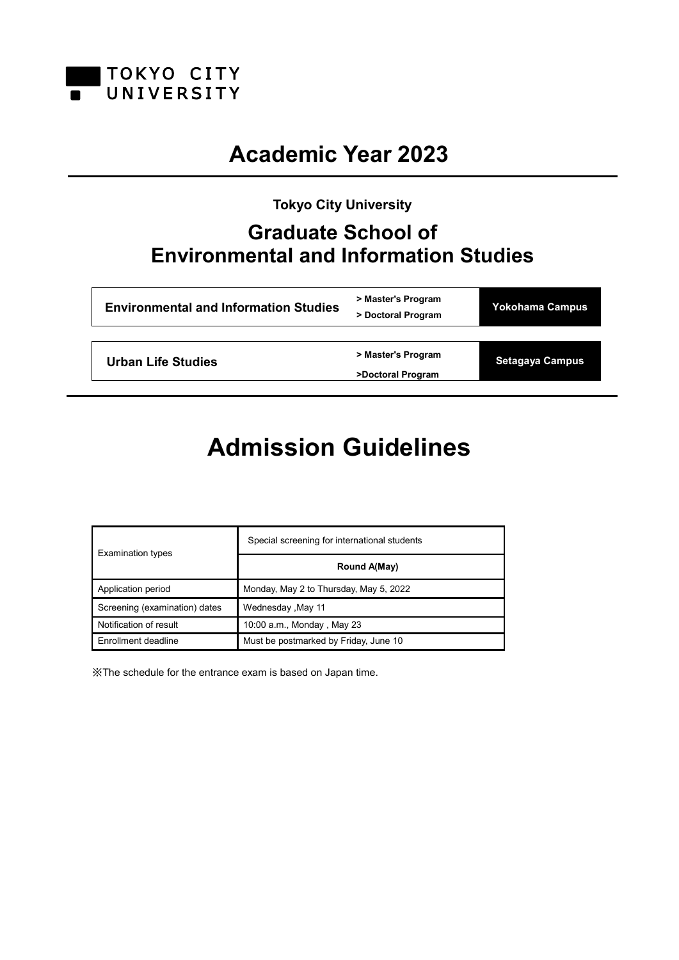

# **Academic Year 2023**

**Tokyo City University**

# **Graduate School of Environmental and Information Studies**

| <b>Environmental and Information Studies</b> | > Master's Program<br>> Doctoral Program | Yokohama Campus        |
|----------------------------------------------|------------------------------------------|------------------------|
|                                              |                                          |                        |
| Urban Life Studies                           | > Master's Program                       | <b>Setagaya Campus</b> |
|                                              | >Doctoral Program                        |                        |

# **Admission Guidelines**

| <b>Examination types</b>      | Special screening for international students |
|-------------------------------|----------------------------------------------|
|                               | Round A(May)                                 |
| Application period            | Monday, May 2 to Thursday, May 5, 2022       |
| Screening (examination) dates | Mednesday, May 11                            |
| Notification of result        | 10:00 a.m., Monday, May 23                   |
| Enrollment deadline           | Must be postmarked by Friday, June 10        |

※The schedule for the entrance exam is based on Japan time.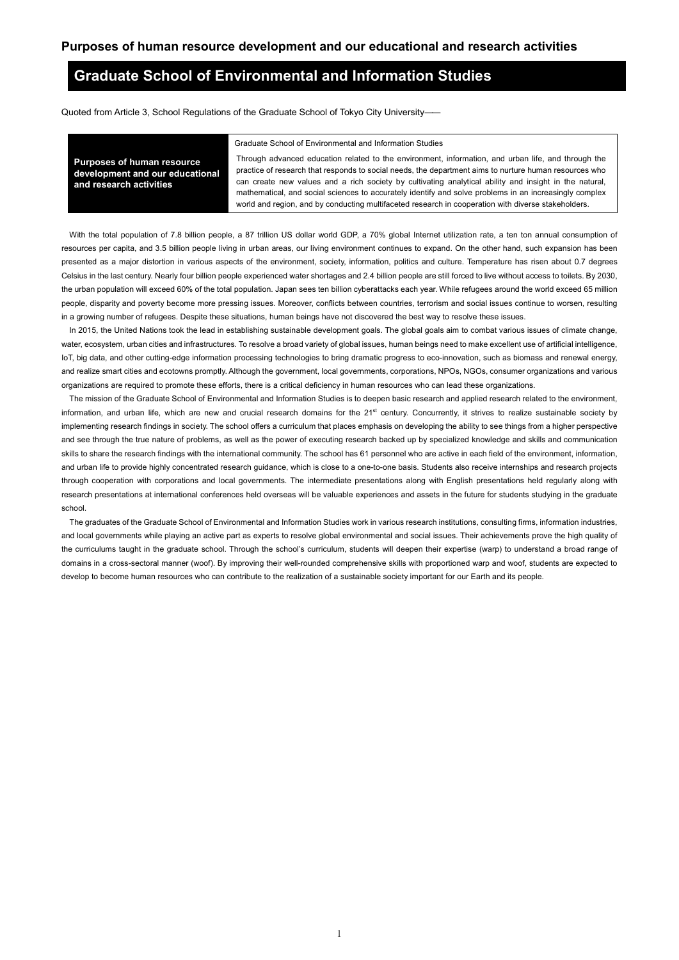# **Graduate School of Environmental and Information Studies**

Quoted from Article 3, School Regulations of the Graduate School of Tokyo City University――

Graduate School of Environmental and Information Studies

**Purposes of human resource development and our educational and research activities**

Through advanced education related to the environment, information, and urban life, and through the practice of research that responds to social needs, the department aims to nurture human resources who can create new values and a rich society by cultivating analytical ability and insight in the natural, mathematical, and social sciences to accurately identify and solve problems in an increasingly complex world and region, and by conducting multifaceted research in cooperation with diverse stakeholders.

With the total population of 7.8 billion people, a 87 trillion US dollar world GDP, a 70% global Internet utilization rate, a ten ton annual consumption of resources per capita, and 3.5 billion people living in urban areas, our living environment continues to expand. On the other hand, such expansion has been presented as a major distortion in various aspects of the environment, society, information, politics and culture. Temperature has risen about 0.7 degrees Celsius in the last century. Nearly four billion people experienced water shortages and 2.4 billion people are still forced to live without access to toilets. By 2030, the urban population will exceed 60% of the total population. Japan sees ten billion cyberattacks each year. While refugees around the world exceed 65 million people, disparity and poverty become more pressing issues. Moreover, conflicts between countries, terrorism and social issues continue to worsen, resulting in a growing number of refugees. Despite these situations, human beings have not discovered the best way to resolve these issues.

In 2015, the United Nations took the lead in establishing sustainable development goals. The global goals aim to combat various issues of climate change, water, ecosystem, urban cities and infrastructures. To resolve a broad variety of global issues, human beings need to make excellent use of artificial intelligence, IoT, big data, and other cutting-edge information processing technologies to bring dramatic progress to eco-innovation, such as biomass and renewal energy, and realize smart cities and ecotowns promptly. Although the government, local governments, corporations, NPOs, NGOs, consumer organizations and various organizations are required to promote these efforts, there is a critical deficiency in human resources who can lead these organizations.

The mission of the Graduate School of Environmental and Information Studies is to deepen basic research and applied research related to the environment, information, and urban life, which are new and crucial research domains for the 21<sup>st</sup> century. Concurrently, it strives to realize sustainable society by implementing research findings in society. The school offers a curriculum that places emphasis on developing the ability to see things from a higher perspective and see through the true nature of problems, as well as the power of executing research backed up by specialized knowledge and skills and communication skills to share the research findings with the international community. The school has 61 personnel who are active in each field of the environment, information, and urban life to provide highly concentrated research guidance, which is close to a one-to-one basis. Students also receive internships and research projects through cooperation with corporations and local governments. The intermediate presentations along with English presentations held regularly along with research presentations at international conferences held overseas will be valuable experiences and assets in the future for students studying in the graduate school.

The graduates of the Graduate School of Environmental and Information Studies work in various research institutions, consulting firms, information industries, and local governments while playing an active part as experts to resolve global environmental and social issues. Their achievements prove the high quality of the curriculums taught in the graduate school. Through the school's curriculum, students will deepen their expertise (warp) to understand a broad range of domains in a cross-sectoral manner (woof). By improving their well-rounded comprehensive skills with proportioned warp and woof, students are expected to develop to become human resources who can contribute to the realization of a sustainable society important for our Earth and its people.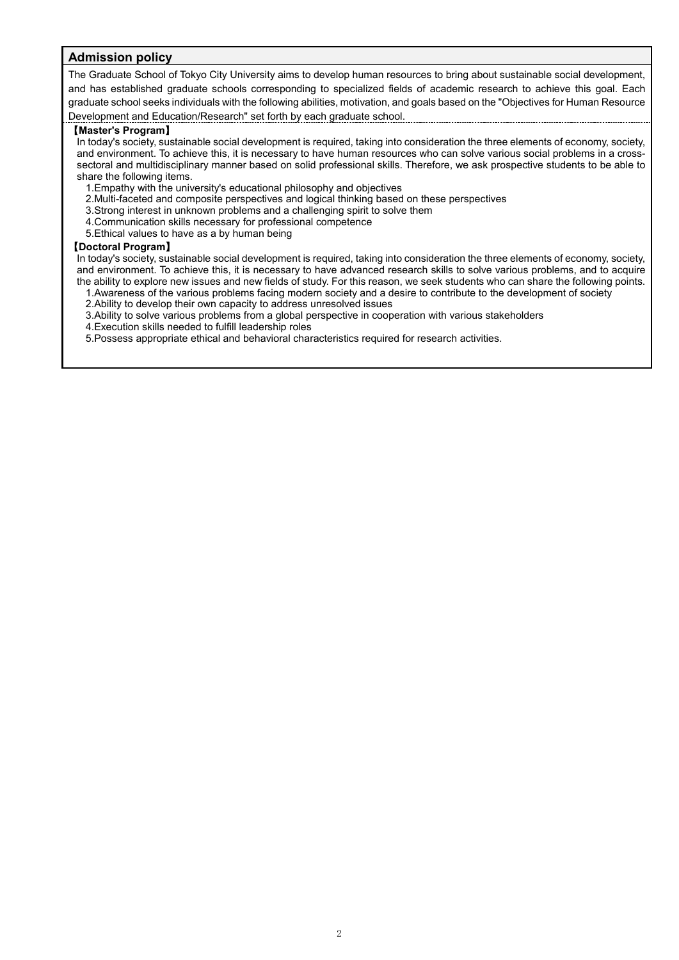## **Admission policy**

The Graduate School of Tokyo City University aims to develop human resources to bring about sustainable social development, and has established graduate schools corresponding to specialized fields of academic research to achieve this goal. Each graduate school seeks individuals with the following abilities, motivation, and goals based on the "Objectives for Human Resource Development and Education/Research" set forth by each graduate school.

### 【**Master's Program**】

In today's society, sustainable social development is required, taking into consideration the three elements of economy, society, and environment. To achieve this, it is necessary to have human resources who can solve various social problems in a crosssectoral and multidisciplinary manner based on solid professional skills. Therefore, we ask prospective students to be able to share the following items.

- 1.Empathy with the university's educational philosophy and objectives
- 2.Multi-faceted and composite perspectives and logical thinking based on these perspectives
- 3.Strong interest in unknown problems and a challenging spirit to solve them
- 4.Communication skills necessary for professional competence
- 5.Ethical values to have as a by human being

### 【**Doctoral Program**】

In today's society, sustainable social development is required, taking into consideration the three elements of economy, society, and environment. To achieve this, it is necessary to have advanced research skills to solve various problems, and to acquire the ability to explore new issues and new fields of study. For this reason, we seek students who can share the following points.

- 1.Awareness of the various problems facing modern society and a desire to contribute to the development of society
- 2.Ability to develop their own capacity to address unresolved issues

3.Ability to solve various problems from a global perspective in cooperation with various stakeholders

4.Execution skills needed to fulfill leadership roles

5.Possess appropriate ethical and behavioral characteristics required for research activities.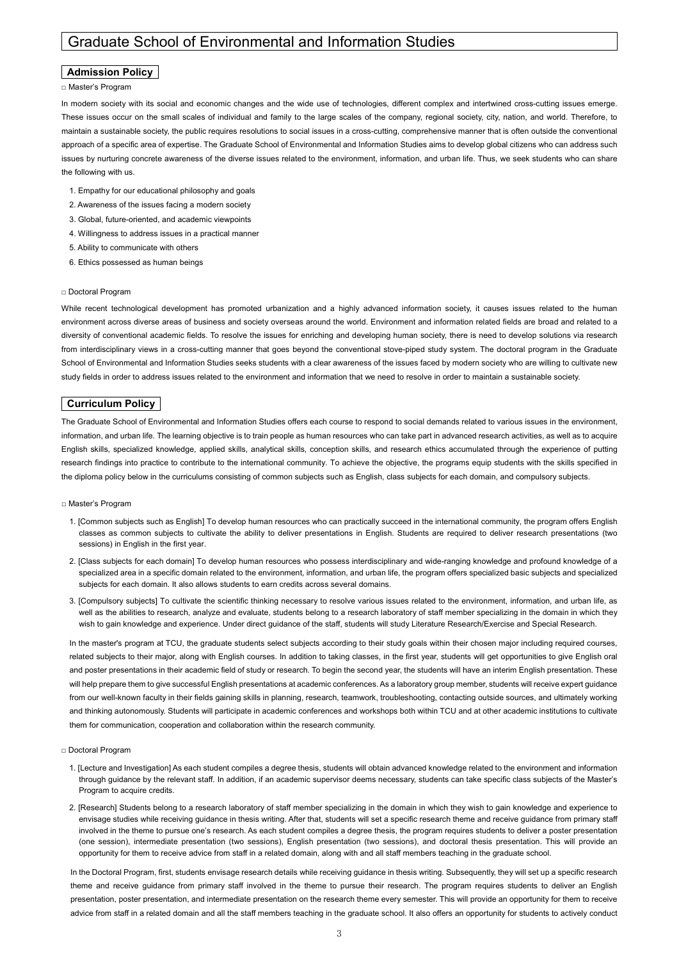# Graduate School of Environmental and Information Studies

### **Admission Policy**

### □ Master's Program

In modern society with its social and economic changes and the wide use of technologies, different complex and intertwined cross-cutting issues emerge. These issues occur on the small scales of individual and family to the large scales of the company, regional society, city, nation, and world. Therefore, to maintain a sustainable society, the public requires resolutions to social issues in a cross-cutting, comprehensive manner that is often outside the conventional approach of a specific area of expertise. The Graduate School of Environmental and Information Studies aims to develop global citizens who can address such issues by nurturing concrete awareness of the diverse issues related to the environment, information, and urban life. Thus, we seek students who can share the following with us.

- 1. Empathy for our educational philosophy and goals
- 2. Awareness of the issues facing a modern society
- 3. Global, future-oriented, and academic viewpoints
- 4. Willingness to address issues in a practical manner
- 5. Ability to communicate with others
- 6. Ethics possessed as human beings

### □ Doctoral Program

While recent technological development has promoted urbanization and a highly advanced information society, it causes issues related to the human environment across diverse areas of business and society overseas around the world. Environment and information related fields are broad and related to a diversity of conventional academic fields. To resolve the issues for enriching and developing human society, there is need to develop solutions via research from interdisciplinary views in a cross-cutting manner that goes beyond the conventional stove-piped study system. The doctoral program in the Graduate School of Environmental and Information Studies seeks students with a clear awareness of the issues faced by modern society who are willing to cultivate new study fields in order to address issues related to the environment and information that we need to resolve in order to maintain a sustainable society.

### **Curriculum Policy**

The Graduate School of Environmental and Information Studies offers each course to respond to social demands related to various issues in the environment, information, and urban life. The learning objective is to train people as human resources who can take part in advanced research activities, as well as to acquire English skills, specialized knowledge, applied skills, analytical skills, conception skills, and research ethics accumulated through the experience of putting research findings into practice to contribute to the international community. To achieve the objective, the programs equip students with the skills specified in the diploma policy below in the curriculums consisting of common subjects such as English, class subjects for each domain, and compulsory subjects.

#### □ Master's Program

- 1. [Common subjects such as English] To develop human resources who can practically succeed in the international community, the program offers English classes as common subjects to cultivate the ability to deliver presentations in English. Students are required to deliver research presentations (two sessions) in English in the first year.
- 2. [Class subjects for each domain] To develop human resources who possess interdisciplinary and wide-ranging knowledge and profound knowledge of a specialized area in a specific domain related to the environment, information, and urban life, the program offers specialized basic subjects and specialized subjects for each domain. It also allows students to earn credits across several domains.
- 3. [Compulsory subjects] To cultivate the scientific thinking necessary to resolve various issues related to the environment, information, and urban life, as well as the abilities to research, analyze and evaluate, students belong to a research laboratory of staff member specializing in the domain in which they wish to gain knowledge and experience. Under direct guidance of the staff, students will study Literature Research/Exercise and Special Research.

In the master's program at TCU, the graduate students select subjects according to their study goals within their chosen major including required courses, related subjects to their major, along with English courses. In addition to taking classes, in the first year, students will get opportunities to give English oral and poster presentations in their academic field of study or research. To begin the second year, the students will have an interim English presentation. These will help prepare them to give successful English presentations at academic conferences. As a laboratory group member, students will receive expert guidance from our well-known faculty in their fields gaining skills in planning, research, teamwork, troubleshooting, contacting outside sources, and ultimately working and thinking autonomously. Students will participate in academic conferences and workshops both within TCU and at other academic institutions to cultivate them for communication, cooperation and collaboration within the research community.

#### □ Doctoral Program

- 1. [Lecture and Investigation] As each student compiles a degree thesis, students will obtain advanced knowledge related to the environment and information through guidance by the relevant staff. In addition, if an academic supervisor deems necessary, students can take specific class subjects of the Master's Program to acquire credits.
- 2. [Research] Students belong to a research laboratory of staff member specializing in the domain in which they wish to gain knowledge and experience to envisage studies while receiving guidance in thesis writing. After that, students will set a specific research theme and receive guidance from primary staff involved in the theme to pursue one's research. As each student compiles a degree thesis, the program requires students to deliver a poster presentation (one session), intermediate presentation (two sessions), English presentation (two sessions), and doctoral thesis presentation. This will provide an opportunity for them to receive advice from staff in a related domain, along with and all staff members teaching in the graduate school.

In the Doctoral Program, first, students envisage research details while receiving guidance in thesis writing. Subsequently, they will set up a specific research theme and receive guidance from primary staff involved in the theme to pursue their research. The program requires students to deliver an English presentation, poster presentation, and intermediate presentation on the research theme every semester. This will provide an opportunity for them to receive advice from staff in a related domain and all the staff members teaching in the graduate school. It also offers an opportunity for students to actively conduct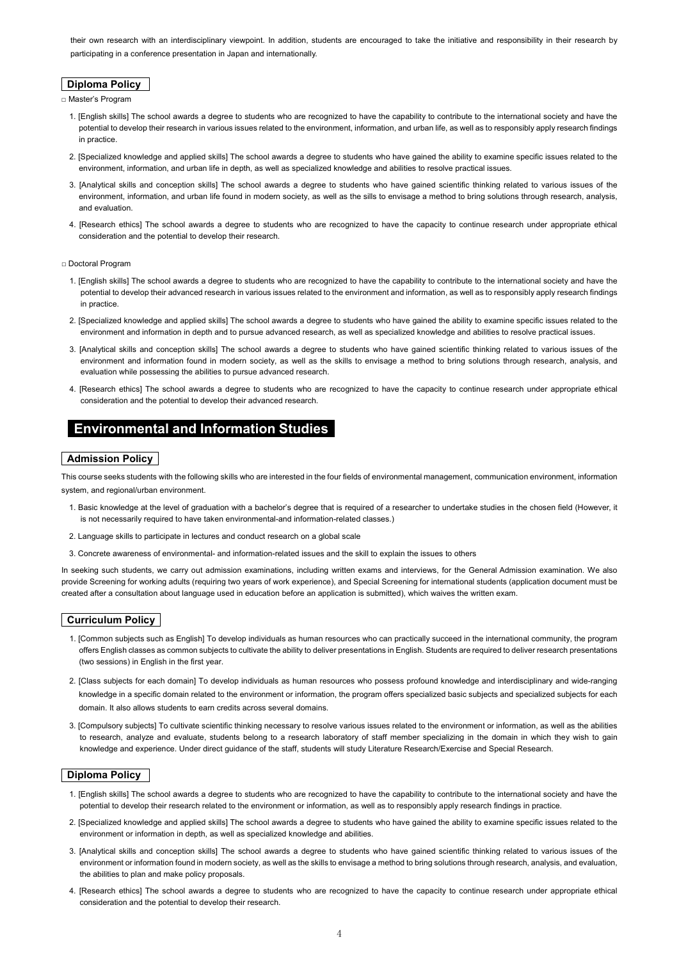their own research with an interdisciplinary viewpoint. In addition, students are encouraged to take the initiative and responsibility in their research by participating in a conference presentation in Japan and internationally.

# **Diploma Policy**

□ Master's Program

- 1. [English skills] The school awards a degree to students who are recognized to have the capability to contribute to the international society and have the potential to develop their research in various issues related to the environment, information, and urban life, as well as to responsibly apply research findings in practice
- 2. [Specialized knowledge and applied skills] The school awards a degree to students who have gained the ability to examine specific issues related to the environment, information, and urban life in depth, as well as specialized knowledge and abilities to resolve practical issues.
- 3. [Analytical skills and conception skills] The school awards a degree to students who have gained scientific thinking related to various issues of the environment, information, and urban life found in modern society, as well as the sills to envisage a method to bring solutions through research, analysis, and evaluation.
- 4. [Research ethics] The school awards a degree to students who are recognized to have the capacity to continue research under appropriate ethical consideration and the potential to develop their research.

### □ Doctoral Program

- 1. [English skills] The school awards a degree to students who are recognized to have the capability to contribute to the international society and have the potential to develop their advanced research in various issues related to the environment and information, as well as to responsibly apply research findings in practice.
- 2. [Specialized knowledge and applied skills] The school awards a degree to students who have gained the ability to examine specific issues related to the environment and information in depth and to pursue advanced research, as well as specialized knowledge and abilities to resolve practical issues.
- 3. [Analytical skills and conception skills] The school awards a degree to students who have gained scientific thinking related to various issues of the environment and information found in modern society, as well as the skills to envisage a method to bring solutions through research, analysis, and evaluation while possessing the abilities to pursue advanced research.
- 4. [Research ethics] The school awards a degree to students who are recognized to have the capacity to continue research under appropriate ethical consideration and the potential to develop their advanced research.

# **Environmental and Information Studies**

### **Admission Policy**

This course seeks students with the following skills who are interested in the four fields of environmental management, communication environment, information system, and regional/urban environment.

- 1. Basic knowledge at the level of graduation with a bachelor's degree that is required of a researcher to undertake studies in the chosen field (However, it is not necessarily required to have taken environmental-and information-related classes.)
- 2. Language skills to participate in lectures and conduct research on a global scale
- 3. Concrete awareness of environmental- and information-related issues and the skill to explain the issues to others

In seeking such students, we carry out admission examinations, including written exams and interviews, for the General Admission examination. We also provide Screening for working adults (requiring two years of work experience), and Special Screening for international students (application document must be created after a consultation about language used in education before an application is submitted), which waives the written exam.

### **Curriculum Policy**

- 1. [Common subjects such as English] To develop individuals as human resources who can practically succeed in the international community, the program offers English classes as common subjects to cultivate the ability to deliver presentations in English. Students are required to deliver research presentations (two sessions) in English in the first year.
- 2. [Class subjects for each domain] To develop individuals as human resources who possess profound knowledge and interdisciplinary and wide-ranging knowledge in a specific domain related to the environment or information, the program offers specialized basic subjects and specialized subjects for each domain. It also allows students to earn credits across several domains.
- 3. [Compulsory subjects] To cultivate scientific thinking necessary to resolve various issues related to the environment or information, as well as the abilities to research, analyze and evaluate, students belong to a research laboratory of staff member specializing in the domain in which they wish to gain knowledge and experience. Under direct guidance of the staff, students will study Literature Research/Exercise and Special Research.

### **Diploma Policy**

- 1. [English skills] The school awards a degree to students who are recognized to have the capability to contribute to the international society and have the potential to develop their research related to the environment or information, as well as to responsibly apply research findings in practice.
- 2. [Specialized knowledge and applied skills] The school awards a degree to students who have gained the ability to examine specific issues related to the environment or information in depth, as well as specialized knowledge and abilities.
- 3. [Analytical skills and conception skills] The school awards a degree to students who have gained scientific thinking related to various issues of the environment or information found in modern society, as well as the skills to envisage a method to bring solutions through research, analysis, and evaluation, the abilities to plan and make policy proposals.
- 4. [Research ethics] The school awards a degree to students who are recognized to have the capacity to continue research under appropriate ethical consideration and the potential to develop their research.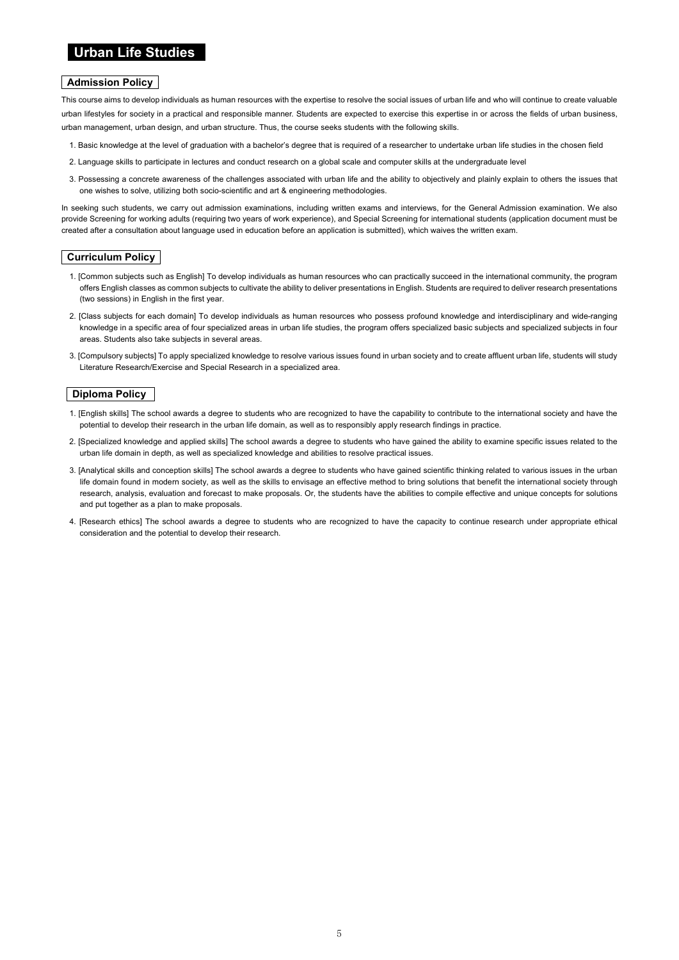# **Urban Life Studies**

### **Admission Policy**

This course aims to develop individuals as human resources with the expertise to resolve the social issues of urban life and who will continue to create valuable urban lifestyles for society in a practical and responsible manner. Students are expected to exercise this expertise in or across the fields of urban business, urban management, urban design, and urban structure. Thus, the course seeks students with the following skills.

- 1. Basic knowledge at the level of graduation with a bachelor's degree that is required of a researcher to undertake urban life studies in the chosen field
- 2. Language skills to participate in lectures and conduct research on a global scale and computer skills at the undergraduate level
- 3. Possessing a concrete awareness of the challenges associated with urban life and the ability to objectively and plainly explain to others the issues that one wishes to solve, utilizing both socio-scientific and art & engineering methodologies.

In seeking such students, we carry out admission examinations, including written exams and interviews, for the General Admission examination. We also provide Screening for working adults (requiring two years of work experience), and Special Screening for international students (application document must be created after a consultation about language used in education before an application is submitted), which waives the written exam.

### **Curriculum Policy**

- 1. [Common subjects such as English] To develop individuals as human resources who can practically succeed in the international community, the program offers English classes as common subjects to cultivate the ability to deliver presentations in English. Students are required to deliver research presentations (two sessions) in English in the first year.
- 2. [Class subjects for each domain] To develop individuals as human resources who possess profound knowledge and interdisciplinary and wide-ranging knowledge in a specific area of four specialized areas in urban life studies, the program offers specialized basic subjects and specialized subjects in four areas. Students also take subjects in several areas.
- 3. [Compulsory subjects] To apply specialized knowledge to resolve various issues found in urban society and to create affluent urban life, students will study Literature Research/Exercise and Special Research in a specialized area.

### **Diploma Policy**

- 1. [English skills] The school awards a degree to students who are recognized to have the capability to contribute to the international society and have the potential to develop their research in the urban life domain, as well as to responsibly apply research findings in practice.
- 2. [Specialized knowledge and applied skills] The school awards a degree to students who have gained the ability to examine specific issues related to the urban life domain in depth, as well as specialized knowledge and abilities to resolve practical issues.
- 3. [Analytical skills and conception skills] The school awards a degree to students who have gained scientific thinking related to various issues in the urban life domain found in modern society, as well as the skills to envisage an effective method to bring solutions that benefit the international society through research, analysis, evaluation and forecast to make proposals. Or, the students have the abilities to compile effective and unique concepts for solutions and put together as a plan to make proposals.
- 4. [Research ethics] The school awards a degree to students who are recognized to have the capacity to continue research under appropriate ethical consideration and the potential to develop their research.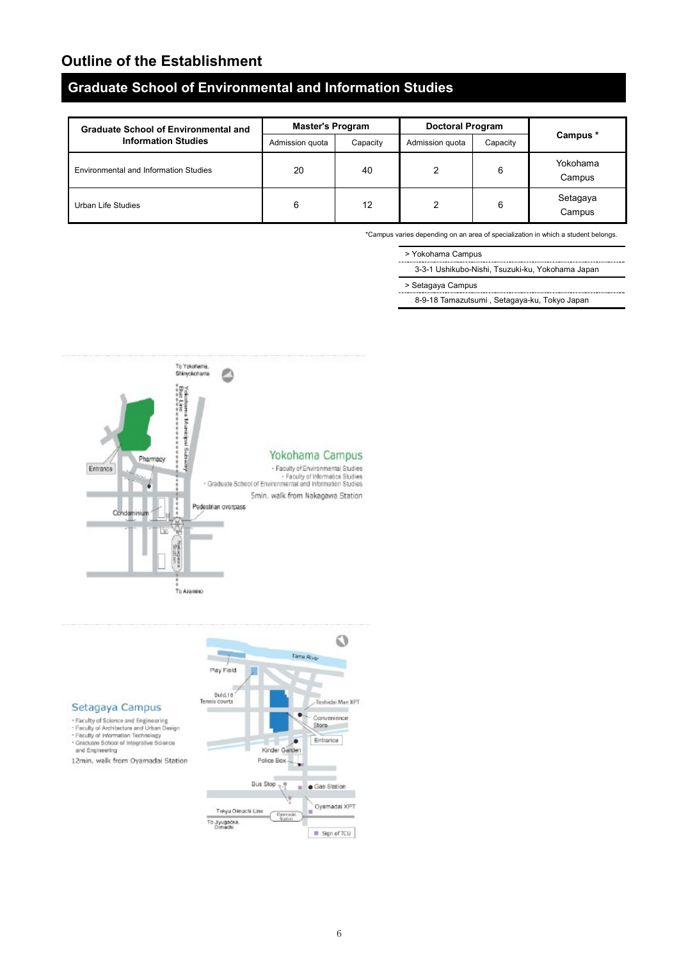# **Graduate School of Environmental and Information Studies**

| <b>Graduate School of Environmental and</b>  | <b>Master's Program</b> |          | <b>Doctoral Program</b> |          |                    |  |
|----------------------------------------------|-------------------------|----------|-------------------------|----------|--------------------|--|
| <b>Information Studies</b>                   | Admission quota         | Capacity | Admission quota         | Capacity | Campus *           |  |
| <b>Environmental and Information Studies</b> | 20                      | 40       |                         | 6        | Yokohama<br>Campus |  |
| Urban Life Studies                           | 6                       | 12       |                         | 6        | Setagaya<br>Campus |  |

\*Campus varies depending on an area of specialization in which a student belongs.



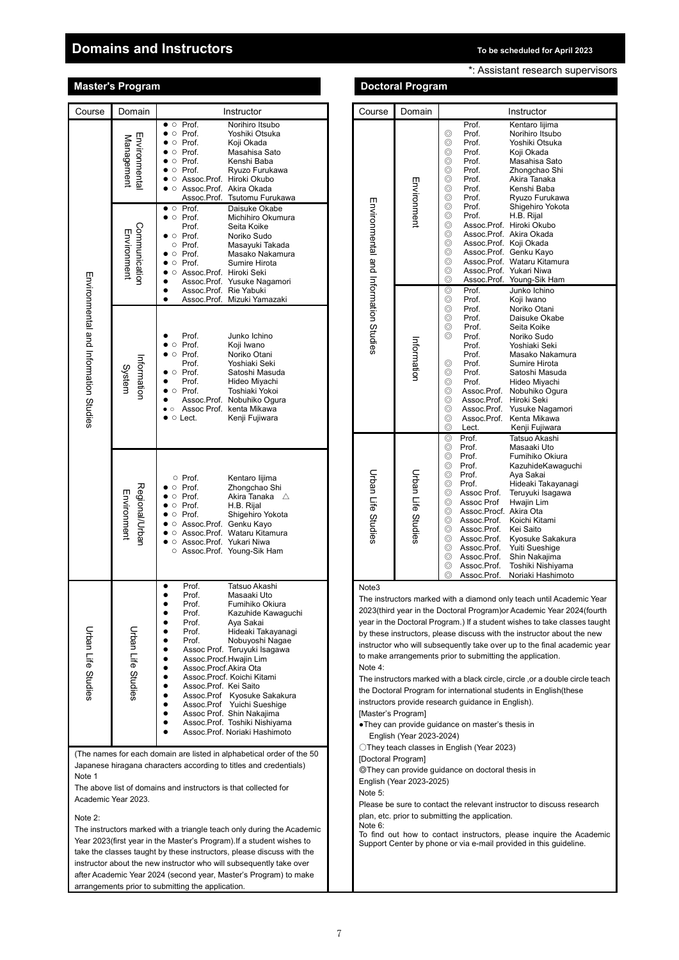# **Domains and Instructors To be scheduled for April 2023**

|                                       | <b>Master's Program</b>       |                                                                                                                                                                                                                                                                                                                                                                                                                                                                                                                                                           |                                        | <b>Doctoral Program</b>  |                                                                                                                                                                                                                                                                                                                                                                                                                                                                                                                                                                                                                            |
|---------------------------------------|-------------------------------|-----------------------------------------------------------------------------------------------------------------------------------------------------------------------------------------------------------------------------------------------------------------------------------------------------------------------------------------------------------------------------------------------------------------------------------------------------------------------------------------------------------------------------------------------------------|----------------------------------------|--------------------------|----------------------------------------------------------------------------------------------------------------------------------------------------------------------------------------------------------------------------------------------------------------------------------------------------------------------------------------------------------------------------------------------------------------------------------------------------------------------------------------------------------------------------------------------------------------------------------------------------------------------------|
| Course                                | Domain                        | Instructor                                                                                                                                                                                                                                                                                                                                                                                                                                                                                                                                                | Course                                 | Domain                   | Instructor                                                                                                                                                                                                                                                                                                                                                                                                                                                                                                                                                                                                                 |
|                                       | Environmental<br>Management   | Prof.<br>Norihiro Itsubo<br>$\bullet$ $\circ$<br>Prof.<br>$\bullet$ $\circ$<br>Yoshiki Otsuka<br>Prof.<br>Koji Okada<br>$\circ$<br>Prof.<br>Masahisa Sato<br>$\circ$<br>Prof.<br>Kenshi Baba<br>$\circ$<br>Prof.<br>Ryuzo Furukawa<br>$\bullet$<br>$\circ$<br>Assoc.Prof. Hiroki Okubo<br>$\circ$<br>$\bullet$ $\circ$ Assoc.Prof. Akira Okada<br>Assoc.Prof. Tsutomu Furukawa                                                                                                                                                                            |                                        | Environment              | Prof.<br>Kentaro lij<br>Prof.<br>⊚<br>Norihiro Its<br>⊚<br>Prof.<br>Yoshiki Ot<br>⊚<br>Prof.<br>Koji Okada<br>⊚<br>Prof.<br>Masahisa<br>⊚<br>Prof.<br>Zhongcha<br>⊚<br>Akira Tana<br>Prof.<br>⊚<br>Prof.<br>Kenshi Ba<br>⊚<br>Prof.<br>Ryuzo Fur                                                                                                                                                                                                                                                                                                                                                                           |
|                                       | Communication<br>Environment  | $\bullet$ $\circ$ Prof.<br>Daisuke Okabe<br>$\bullet$ $\circ$ Prof.<br>Michihiro Okumura<br>Prof.<br>Seita Koike<br>$\bullet$ $\circ$ Prof.<br>Noriko Sudo<br>$\circ$ Prof.<br>Masayuki Takada<br>o Prof.<br>Masako Nakamura<br>Prof.<br>Sumire Hirota<br>$\circ$<br>$\bullet$<br>Assoc.Prof. Hiroki Seki<br>$\circ$<br>$\bullet$<br>Assoc.Prof. Yusuke Nagamori<br>Assoc.Prof. Rie Yabuki<br>$\bullet$                                                                                                                                                   | Environmental and Information Studies  |                          | ⊚<br>Prof.<br>Shigehiro<br>Prof.<br>⊚<br>H.B. Rijal<br>⊚<br>Assoc.Prof. Hiroki Oku<br>Assoc.Prof. Akira Oka<br>⊚<br>⊚<br>Assoc.Prof. Koji Okada<br>⊚<br>Assoc.Prof. Genku Ka<br>⊚<br>Assoc.Prof. Wataru Kit<br>⊚<br>Assoc.Prof. Yukari Niw<br>⊚<br>Assoc.Prof. Young-Sik<br>Junko Ichi<br>⊚<br>Prof.                                                                                                                                                                                                                                                                                                                       |
| Environmental and Information Studies | Information<br>System         | $\bullet$<br>Assoc.Prof. Mizuki Yamazaki<br>Prof.<br>Junko Ichino<br>Prof.<br>Koji Iwano<br>$\circ$<br>Prof.<br>$\circ$<br>Noriko Otani<br>$\bullet$<br>Yoshiaki Seki<br>Prof.<br>o Prof.<br>Satoshi Masuda<br>Prof.<br>Hideo Miyachi<br>٠<br>Prof.<br>Toshiaki Yokoi<br>$\circ$<br>Assoc.Prof. Nobuhiko Ogura<br>Assoc Prof. kenta Mikawa<br>$\bullet$ $\circ$<br>○ Lect.<br>Kenji Fujiwara<br>$\bullet$                                                                                                                                                 |                                        | Information              | Prof.<br>⊚<br>Koji Iwano<br>$^{\circ}$<br>Prof.<br>Noriko Ota<br>$^{\circ}$<br>Prof.<br>Daisuke C<br>⊚<br>Prof.<br>Seita Koik<br>$\circledcirc$<br>Noriko Su<br>Prof.<br>Prof.<br>Yoshiaki S<br>Prof.<br>Masako N<br>Sumire Hi<br>⊚<br>Prof.<br>$^{\circ}$<br>Prof.<br>Satoshi M<br>⊚<br>Prof.<br>Hideo Miv<br>$\circledcirc$<br>Assoc.Prof. Nobuhiko<br>$^{\circ}$<br>Assoc.Prof.<br>Hiroki Sek<br>⊚<br>Assoc.Prof.<br>Yusuke Na<br>$^{\circ}$<br>Assoc.Prof. Kenta Mik<br>$\circledcirc$<br>Lect.<br>Kenji Fuji                                                                                                          |
|                                       | Regional/Urban<br>Environment | o Prof.<br>Kentaro lijima<br>Zhongchao Shi<br>Prof.<br>O<br>Prof.<br>Akira Tanaka ∆<br>$\circ$<br>Prof.<br>H.B. Rijal<br>$\circ$<br>Shigehiro Yokota<br>Prof.<br>$\circ$<br>Assoc.Prof. Genku Kayo<br>$\circ$<br>Assoc.Prof. Wataru Kitamura<br>$\circ$<br>○ Assoc.Prof. Yukari Niwa<br>○ Assoc.Prof. Young-Sik Ham                                                                                                                                                                                                                                       | Urban Life Studies                     | Urban Life Studies       | Prof.<br>Tatsuo Aka<br>⊚<br>$^{\circ}$<br>Prof.<br>Masaaki L<br>$^{\circ}$<br>Prof.<br>Fumihiko<br>$^{\circ}$<br>Prof.<br>Kazuhider<br>$^{\circ}$<br>Prof.<br>Aya Sakai<br>⊚<br>Prof.<br>Hideaki Ta<br>⊚<br>Assoc Prof.<br>Teruyuki Is<br>$\circledcirc$<br>Hwajin Lin<br>Assoc Prof<br>$\circledcirc$<br>Assoc.Procf. Akira Ota<br>$\circledcirc$<br>Assoc.Prof.<br>Koichi Kita<br>$^{\circ}$<br>Assoc.Prof.<br>Kei Saito<br>⊚<br>Assoc.Prof.<br>Kyosuke S<br>⊚<br>Assoc.Prof.<br><b>Yuiti Sues</b><br>$^{\circ}$<br>Assoc.Prof.<br>Shin Naka<br>⊚<br>Assoc.Prof.<br><b>Toshiki Nis</b><br>⊚<br>Assoc.Prof.<br>Noriaki Ha |
| Urban Life Studies                    | Urban Life Studies            | Prof.<br>Tatsuo Akashi<br>$\bullet$<br>Masaaki Uto<br>Prof.<br>Prof.<br>Fumihiko Okiura<br>٠<br>Prof.<br>Kazuhide Kawaguchi<br>Prof.<br>Aya Sakai<br>Prof.<br>Hideaki Takayanagi<br>Prof.<br>Nobuyoshi Naqae<br>Assoc Prof. Teruyuki Isagawa<br>Assoc.Procf.Hwajin Lim<br>Assoc.Procf.Akira Ota<br>$\bullet$<br>Assoc.Procf. Koichi Kitami<br>Assoc.Prof. Kei Saito<br>Assoc.Prof Kyosuke Sakakura<br>$\bullet$<br>Assoc.Prof Yuichi Sueshige<br>$\bullet$<br>Assoc Prof. Shin Nakajima<br>Assoc.Prof. Toshiki Nishiyama<br>Assoc.Prof. Noriaki Hashimoto | Note3<br>Note 4:<br>[Master's Program] | English (Year 2023-2024) | The instructors marked with a diamond only teach un<br>2023(third year in the Doctoral Program)or Academic<br>year in the Doctoral Program.) If a student wishes to ta<br>by these instructors, please discuss with the instructo<br>instructor who will subsequently take over up to the fi<br>to make arrangements prior to submitting the applica<br>The instructors marked with a black circle, circle, or a<br>the Doctoral Program for international students in Eng<br>instructors provide research guidance in English).<br>. They can provide guidance on master's thesis in                                      |

(The names for each domain are listed in alphabetical order of the 50 Japanese hiragana characters according to titles and credentials) Note 1

The above list of domains and instructors is that collected for Academic Year 2023.

### Note 2:

The instructors marked with a triangle teach only during the Academic Year 2023(first year in the Master's Program).If a student wishes to take the classes taught by these instructors, please discuss with the instructor about the new instructor who will subsequently take over after Academic Year 2024 (second year, Master's Program) to make arrangements prior to submitting the application.

| *: Assistant research supervisors |  |  |
|-----------------------------------|--|--|
|-----------------------------------|--|--|

| Course                                                                                                                   | Domain                    | Instructor                                                                                                                               |  |  |
|--------------------------------------------------------------------------------------------------------------------------|---------------------------|------------------------------------------------------------------------------------------------------------------------------------------|--|--|
|                                                                                                                          |                           | Kentaro lijima<br>Prof.                                                                                                                  |  |  |
|                                                                                                                          |                           | ⊚<br>Prof.<br>Norihiro Itsubo<br>⊚<br>Prof.<br>Yoshiki Otsuka                                                                            |  |  |
|                                                                                                                          |                           | ⊚<br>Koji Okada<br>Prof.                                                                                                                 |  |  |
|                                                                                                                          |                           | ⊚<br>Masahisa Sato<br>Prof.                                                                                                              |  |  |
|                                                                                                                          |                           | ⊚<br>Prof.<br>Zhongchao Shi                                                                                                              |  |  |
|                                                                                                                          | Environment               | ⊚<br>Prof.<br>Akira Tanaka<br>⊚<br>Prof.<br>Kenshi Baba                                                                                  |  |  |
|                                                                                                                          |                           | ⊚<br>Prof.<br>Ryuzo Furukawa                                                                                                             |  |  |
| Environmental and Information Stridies                                                                                   |                           | ⊚<br>Prof.<br>Shigehiro Yokota                                                                                                           |  |  |
|                                                                                                                          |                           | ⊚<br>Prof.<br>H.B. Rijal<br>⊚<br>Assoc.Prof. Hiroki Okubo                                                                                |  |  |
|                                                                                                                          |                           | ⊚<br>Assoc.Prof. Akira Okada                                                                                                             |  |  |
|                                                                                                                          |                           | ⊚<br>Assoc.Prof. Koji Okada                                                                                                              |  |  |
|                                                                                                                          |                           | ⊚<br>Assoc.Prof.<br>Genku Kayo                                                                                                           |  |  |
|                                                                                                                          |                           | ⊚<br>Assoc.Prof.<br>Wataru Kitamura<br>⊚<br>Assoc.Prof.<br>Yukari Niwa                                                                   |  |  |
|                                                                                                                          |                           | ⊚<br>Assoc.Prof. Young-Sik Ham                                                                                                           |  |  |
|                                                                                                                          |                           | ⊚<br>Prof.<br>Junko Ichino                                                                                                               |  |  |
|                                                                                                                          |                           | ⊚<br>Prof.<br>Koji Iwano                                                                                                                 |  |  |
|                                                                                                                          |                           | ⊚<br>Noriko Otani<br>Prof.<br>⊚<br>Daisuke Okabe                                                                                         |  |  |
|                                                                                                                          |                           | Prof.<br>⊚<br>Prof.<br>Seita Koike                                                                                                       |  |  |
|                                                                                                                          |                           | Noriko Sudo<br>⊚<br>Prof.                                                                                                                |  |  |
|                                                                                                                          | nformation                | Prof.<br>Yoshiaki Seki                                                                                                                   |  |  |
|                                                                                                                          |                           | Prof.<br>Masako Nakamura<br>Sumire Hirota<br>⊚<br>Prof.                                                                                  |  |  |
|                                                                                                                          |                           | ⊚<br>Prof.<br>Satoshi Masuda                                                                                                             |  |  |
|                                                                                                                          |                           | ⊚<br>Prof.<br>Hideo Miyachi                                                                                                              |  |  |
|                                                                                                                          |                           | ⊚<br>Assoc.Prof.<br>Nobuhiko Ogura                                                                                                       |  |  |
|                                                                                                                          |                           | ⊚<br>Assoc.Prof.<br>Hiroki Seki<br>⊚<br>Assoc.Prof.<br>Yusuke Nagamori                                                                   |  |  |
|                                                                                                                          |                           | ⊚<br>Kenta Mikawa<br>Assoc.Prof.                                                                                                         |  |  |
|                                                                                                                          |                           | ⊚<br>Kenji Fujiwara<br>Lect.                                                                                                             |  |  |
|                                                                                                                          |                           | Prof.<br>⊚<br>Tatsuo Akashi                                                                                                              |  |  |
|                                                                                                                          |                           | ⊚<br>Prof.<br>Masaaki Uto<br>⊚<br>Prof.<br>Fumihiko Okiura                                                                               |  |  |
|                                                                                                                          |                           | ⊚<br>Prof.<br>KazuhideKawaguchi                                                                                                          |  |  |
|                                                                                                                          |                           | ⊚<br>Prof.<br>Aya Sakai                                                                                                                  |  |  |
|                                                                                                                          |                           | ⊚<br>Prof.<br>Hideaki Takayanagi                                                                                                         |  |  |
| Urban Life Studies                                                                                                       | <b>Urban Life Studies</b> | ⊚<br>Assoc Prof.<br>Teruyuki Isagawa                                                                                                     |  |  |
|                                                                                                                          |                           | ⊚<br>Hwajin Lim<br>Assoc Prof<br>⊚<br>Assoc.Procf. Akira Ota                                                                             |  |  |
|                                                                                                                          |                           | ⊚<br>Assoc.Prof.<br>Koichi Kitami                                                                                                        |  |  |
|                                                                                                                          |                           | ⊚<br>Kei Saito<br>Assoc.Prof.                                                                                                            |  |  |
|                                                                                                                          |                           | ⊚<br>Assoc.Prof.<br>Kyosuke Sakakura<br>⊚<br>Assoc.Prof.<br>Yuiti Sueshige                                                               |  |  |
|                                                                                                                          |                           | ⊚<br>Assoc.Prof.<br>Shin Nakajima                                                                                                        |  |  |
|                                                                                                                          |                           | ⊚<br>Assoc.Prof.<br>Toshiki Nishiyama                                                                                                    |  |  |
|                                                                                                                          |                           | ⊚<br>Assoc.Prof.<br>Noriaki Hashimoto                                                                                                    |  |  |
| Note3                                                                                                                    |                           | The instructors marked with a diamond only teach until Academic Year                                                                     |  |  |
|                                                                                                                          |                           | 2023(third year in the Doctoral Program)or Academic Year 2024(fourth                                                                     |  |  |
|                                                                                                                          |                           | year in the Doctoral Program.) If a student wishes to take classes taught                                                                |  |  |
|                                                                                                                          |                           | by these instructors, please discuss with the instructor about the new                                                                   |  |  |
|                                                                                                                          |                           | instructor who will subsequently take over up to the final academic year                                                                 |  |  |
| Note 4:                                                                                                                  |                           | to make arrangements prior to submitting the application.                                                                                |  |  |
|                                                                                                                          |                           |                                                                                                                                          |  |  |
|                                                                                                                          |                           | The instructors marked with a black circle, circle, or a double circle teach                                                             |  |  |
|                                                                                                                          |                           | the Doctoral Program for international students in English(these                                                                         |  |  |
|                                                                                                                          |                           | instructors provide research guidance in English).                                                                                       |  |  |
| [Master's Program]                                                                                                       |                           |                                                                                                                                          |  |  |
| . They can provide guidance on master's thesis in                                                                        |                           |                                                                                                                                          |  |  |
| English (Year 2023-2024)<br>◯They teach classes in English (Year 2023)                                                   |                           |                                                                                                                                          |  |  |
| [Doctoral Program]                                                                                                       |                           |                                                                                                                                          |  |  |
| © They can provide guidance on doctoral thesis in                                                                        |                           |                                                                                                                                          |  |  |
| English (Year 2023-2025)                                                                                                 |                           |                                                                                                                                          |  |  |
| Note 5:                                                                                                                  |                           |                                                                                                                                          |  |  |
|                                                                                                                          |                           |                                                                                                                                          |  |  |
| Please be sure to contact the relevant instructor to discuss research<br>plan, etc. prior to submitting the application. |                           |                                                                                                                                          |  |  |
| Note 6:                                                                                                                  |                           |                                                                                                                                          |  |  |
|                                                                                                                          |                           | To find out how to contact instructors, please inquire the Academic<br>Support Center by phone or via e-mail provided in this guideline. |  |  |
|                                                                                                                          |                           |                                                                                                                                          |  |  |
|                                                                                                                          |                           |                                                                                                                                          |  |  |
|                                                                                                                          |                           |                                                                                                                                          |  |  |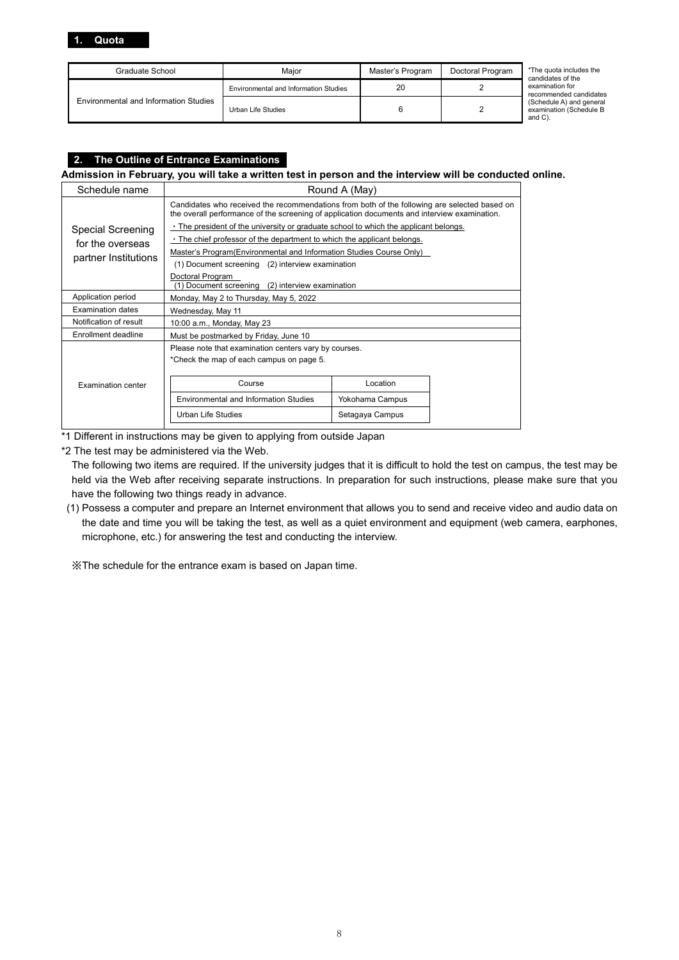| Graduate School                       | Maior                                 | Master's Program | Doctoral Program | *The quota includes the<br>candidates of the                  |
|---------------------------------------|---------------------------------------|------------------|------------------|---------------------------------------------------------------|
|                                       | Environmental and Information Studies | 20               |                  | examination for<br>recommended candidates                     |
| Environmental and Information Studies | Urban Life Studies                    |                  |                  | (Schedule A) and general<br>examination (Schedule B<br>and C) |

## **2. The Outline of Entrance Examinations**

### **Admission in February, you will take a written test in person and the interview will be conducted online.**

| Schedule name          | Round A (May)                                                                        |                                                                                                                                                                                              |  |
|------------------------|--------------------------------------------------------------------------------------|----------------------------------------------------------------------------------------------------------------------------------------------------------------------------------------------|--|
|                        |                                                                                      | Candidates who received the recommendations from both of the following are selected based on<br>the overall performance of the screening of application documents and interview examination. |  |
| Special Screening      | . The president of the university or graduate school to which the applicant belongs. |                                                                                                                                                                                              |  |
| for the overseas       | . The chief professor of the department to which the applicant belongs.              |                                                                                                                                                                                              |  |
| partner Institutions   | Master's Program (Environmental and Information Studies Course Only)                 |                                                                                                                                                                                              |  |
|                        | (1) Document screening (2) interview examination                                     |                                                                                                                                                                                              |  |
|                        | Doctoral Program<br>(1) Document screening (2) interview examination                 |                                                                                                                                                                                              |  |
| Application period     | Monday, May 2 to Thursday, May 5, 2022                                               |                                                                                                                                                                                              |  |
| Examination dates      | Wednesday, May 11                                                                    |                                                                                                                                                                                              |  |
| Notification of result | 10:00 a.m., Monday, May 23                                                           |                                                                                                                                                                                              |  |
| Enrollment deadline    | Must be postmarked by Friday, June 10                                                |                                                                                                                                                                                              |  |
|                        | Please note that examination centers vary by courses.                                |                                                                                                                                                                                              |  |
|                        | *Check the map of each campus on page 5.                                             |                                                                                                                                                                                              |  |
|                        |                                                                                      |                                                                                                                                                                                              |  |
| Examination center     | Course                                                                               | Location                                                                                                                                                                                     |  |
|                        | <b>Environmental and Information Studies</b>                                         | Yokohama Campus                                                                                                                                                                              |  |
|                        | <b>Urban Life Studies</b><br>Setagaya Campus                                         |                                                                                                                                                                                              |  |

\*1 Different in instructions may be given to applying from outside Japan

\*2 The test may be administered via the Web.

The following two items are required. If the university judges that it is difficult to hold the test on campus, the test may be held via the Web after receiving separate instructions. In preparation for such instructions, please make sure that you have the following two things ready in advance.

(1) Possess a computer and prepare an Internet environment that allows you to send and receive video and audio data on the date and time you will be taking the test, as well as a quiet environment and equipment (web camera, earphones, microphone, etc.) for answering the test and conducting the interview.

※The schedule for the entrance exam is based on Japan time.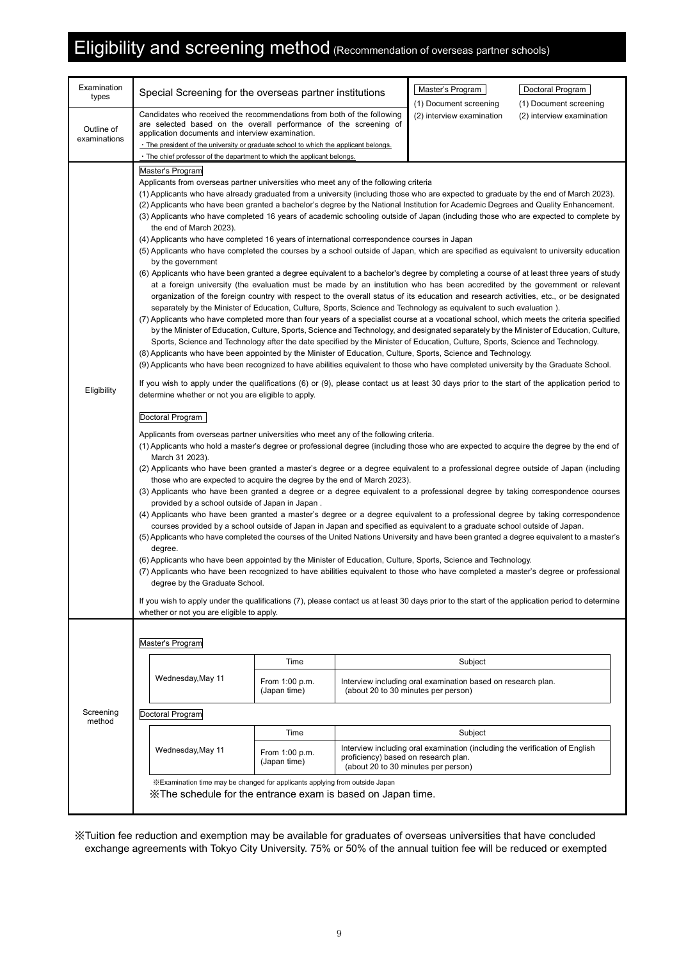# Eligibility and screening method (Recommendation of overseas partner schools)

| Examination<br>types | Special Screening for the overseas partner institutions                                                                                                                                                                                                                                                                                                                                                                                                                                                                                                                                                                                                                                                                                                                                                                                                                                                                                                                                                                                                                                                                                                                                                                                                                                                                                                                                                                                                                                                                                                                                                                                                                                                                                                                                                                                                                                                                                                                                                                                                                                                                                                                                                                                                                                                                                                                                                                                                                                                                                                                                                                                                                                                                                                                                                                                                                                                                                                                                                                                                   |                                |                                      | Master's Program                                                                                                          | Doctoral Program                                    |  |  |
|----------------------|-----------------------------------------------------------------------------------------------------------------------------------------------------------------------------------------------------------------------------------------------------------------------------------------------------------------------------------------------------------------------------------------------------------------------------------------------------------------------------------------------------------------------------------------------------------------------------------------------------------------------------------------------------------------------------------------------------------------------------------------------------------------------------------------------------------------------------------------------------------------------------------------------------------------------------------------------------------------------------------------------------------------------------------------------------------------------------------------------------------------------------------------------------------------------------------------------------------------------------------------------------------------------------------------------------------------------------------------------------------------------------------------------------------------------------------------------------------------------------------------------------------------------------------------------------------------------------------------------------------------------------------------------------------------------------------------------------------------------------------------------------------------------------------------------------------------------------------------------------------------------------------------------------------------------------------------------------------------------------------------------------------------------------------------------------------------------------------------------------------------------------------------------------------------------------------------------------------------------------------------------------------------------------------------------------------------------------------------------------------------------------------------------------------------------------------------------------------------------------------------------------------------------------------------------------------------------------------------------------------------------------------------------------------------------------------------------------------------------------------------------------------------------------------------------------------------------------------------------------------------------------------------------------------------------------------------------------------------------------------------------------------------------------------------------------------|--------------------------------|--------------------------------------|---------------------------------------------------------------------------------------------------------------------------|-----------------------------------------------------|--|--|
| Outline of           | Candidates who received the recommendations from both of the following<br>are selected based on the overall performance of the screening of<br>application documents and interview examination.                                                                                                                                                                                                                                                                                                                                                                                                                                                                                                                                                                                                                                                                                                                                                                                                                                                                                                                                                                                                                                                                                                                                                                                                                                                                                                                                                                                                                                                                                                                                                                                                                                                                                                                                                                                                                                                                                                                                                                                                                                                                                                                                                                                                                                                                                                                                                                                                                                                                                                                                                                                                                                                                                                                                                                                                                                                           |                                |                                      | (1) Document screening<br>(2) interview examination                                                                       | (1) Document screening<br>(2) interview examination |  |  |
| examinations         |                                                                                                                                                                                                                                                                                                                                                                                                                                                                                                                                                                                                                                                                                                                                                                                                                                                                                                                                                                                                                                                                                                                                                                                                                                                                                                                                                                                                                                                                                                                                                                                                                                                                                                                                                                                                                                                                                                                                                                                                                                                                                                                                                                                                                                                                                                                                                                                                                                                                                                                                                                                                                                                                                                                                                                                                                                                                                                                                                                                                                                                           |                                |                                      |                                                                                                                           |                                                     |  |  |
| Eligibility          | . The president of the university or graduate school to which the applicant belongs.<br>· The chief professor of the department to which the applicant belongs.<br>Master's Program<br>Applicants from overseas partner universities who meet any of the following criteria<br>(1) Applicants who have already graduated from a university (including those who are expected to graduate by the end of March 2023).<br>(2) Applicants who have been granted a bachelor's degree by the National Institution for Academic Degrees and Quality Enhancement.<br>(3) Applicants who have completed 16 years of academic schooling outside of Japan (including those who are expected to complete by<br>the end of March 2023).<br>(4) Applicants who have completed 16 years of international correspondence courses in Japan<br>(5) Applicants who have completed the courses by a school outside of Japan, which are specified as equivalent to university education<br>by the government<br>(6) Applicants who have been granted a degree equivalent to a bachelor's degree by completing a course of at least three years of study<br>at a foreign university (the evaluation must be made by an institution who has been accredited by the government or relevant<br>organization of the foreign country with respect to the overall status of its education and research activities, etc., or be designated<br>separately by the Minister of Education, Culture, Sports, Science and Technology as equivalent to such evaluation).<br>(7) Applicants who have completed more than four years of a specialist course at a vocational school, which meets the criteria specified<br>by the Minister of Education, Culture, Sports, Science and Technology, and designated separately by the Minister of Education, Culture,<br>Sports, Science and Technology after the date specified by the Minister of Education, Culture, Sports, Science and Technology.<br>(8) Applicants who have been appointed by the Minister of Education, Culture, Sports, Science and Technology.<br>(9) Applicants who have been recognized to have abilities equivalent to those who have completed university by the Graduate School.<br>If you wish to apply under the qualifications (6) or (9), please contact us at least 30 days prior to the start of the application period to<br>determine whether or not you are eligible to apply.<br>Doctoral Program<br>Applicants from overseas partner universities who meet any of the following criteria.<br>(1) Applicants who hold a master's degree or professional degree (including those who are expected to acquire the degree by the end of<br>March 31 2023).<br>(2) Applicants who have been granted a master's degree or a degree equivalent to a professional degree outside of Japan (including<br>those who are expected to acquire the degree by the end of March 2023).<br>(3) Applicants who have been granted a degree or a degree equivalent to a professional degree by taking correspondence courses |                                |                                      |                                                                                                                           |                                                     |  |  |
|                      | (4) Applicants who have been granted a master's degree or a degree equivalent to a professional degree by taking correspondence<br>(5) Applicants who have completed the courses of the United Nations University and have been granted a degree equivalent to a master's                                                                                                                                                                                                                                                                                                                                                                                                                                                                                                                                                                                                                                                                                                                                                                                                                                                                                                                                                                                                                                                                                                                                                                                                                                                                                                                                                                                                                                                                                                                                                                                                                                                                                                                                                                                                                                                                                                                                                                                                                                                                                                                                                                                                                                                                                                                                                                                                                                                                                                                                                                                                                                                                                                                                                                                 |                                |                                      | courses provided by a school outside of Japan in Japan and specified as equivalent to a graduate school outside of Japan. |                                                     |  |  |
|                      | degree.<br>(6) Applicants who have been appointed by the Minister of Education, Culture, Sports, Science and Technology.                                                                                                                                                                                                                                                                                                                                                                                                                                                                                                                                                                                                                                                                                                                                                                                                                                                                                                                                                                                                                                                                                                                                                                                                                                                                                                                                                                                                                                                                                                                                                                                                                                                                                                                                                                                                                                                                                                                                                                                                                                                                                                                                                                                                                                                                                                                                                                                                                                                                                                                                                                                                                                                                                                                                                                                                                                                                                                                                  |                                |                                      |                                                                                                                           |                                                     |  |  |
|                      | (7) Applicants who have been recognized to have abilities equivalent to those who have completed a master's degree or professional<br>degree by the Graduate School.                                                                                                                                                                                                                                                                                                                                                                                                                                                                                                                                                                                                                                                                                                                                                                                                                                                                                                                                                                                                                                                                                                                                                                                                                                                                                                                                                                                                                                                                                                                                                                                                                                                                                                                                                                                                                                                                                                                                                                                                                                                                                                                                                                                                                                                                                                                                                                                                                                                                                                                                                                                                                                                                                                                                                                                                                                                                                      |                                |                                      |                                                                                                                           |                                                     |  |  |
|                      | If you wish to apply under the qualifications (7), please contact us at least 30 days prior to the start of the application period to determine<br>whether or not you are eligible to apply.                                                                                                                                                                                                                                                                                                                                                                                                                                                                                                                                                                                                                                                                                                                                                                                                                                                                                                                                                                                                                                                                                                                                                                                                                                                                                                                                                                                                                                                                                                                                                                                                                                                                                                                                                                                                                                                                                                                                                                                                                                                                                                                                                                                                                                                                                                                                                                                                                                                                                                                                                                                                                                                                                                                                                                                                                                                              |                                |                                      |                                                                                                                           |                                                     |  |  |
|                      | Master's Program                                                                                                                                                                                                                                                                                                                                                                                                                                                                                                                                                                                                                                                                                                                                                                                                                                                                                                                                                                                                                                                                                                                                                                                                                                                                                                                                                                                                                                                                                                                                                                                                                                                                                                                                                                                                                                                                                                                                                                                                                                                                                                                                                                                                                                                                                                                                                                                                                                                                                                                                                                                                                                                                                                                                                                                                                                                                                                                                                                                                                                          |                                |                                      |                                                                                                                           |                                                     |  |  |
|                      |                                                                                                                                                                                                                                                                                                                                                                                                                                                                                                                                                                                                                                                                                                                                                                                                                                                                                                                                                                                                                                                                                                                                                                                                                                                                                                                                                                                                                                                                                                                                                                                                                                                                                                                                                                                                                                                                                                                                                                                                                                                                                                                                                                                                                                                                                                                                                                                                                                                                                                                                                                                                                                                                                                                                                                                                                                                                                                                                                                                                                                                           | Time                           |                                      | Subject                                                                                                                   |                                                     |  |  |
|                      | Wednesday, May 11                                                                                                                                                                                                                                                                                                                                                                                                                                                                                                                                                                                                                                                                                                                                                                                                                                                                                                                                                                                                                                                                                                                                                                                                                                                                                                                                                                                                                                                                                                                                                                                                                                                                                                                                                                                                                                                                                                                                                                                                                                                                                                                                                                                                                                                                                                                                                                                                                                                                                                                                                                                                                                                                                                                                                                                                                                                                                                                                                                                                                                         | From 1:00 p.m.<br>(Japan time) |                                      | Interview including oral examination based on research plan.<br>(about 20 to 30 minutes per person)                       |                                                     |  |  |
| Screening<br>method  | Doctoral Program                                                                                                                                                                                                                                                                                                                                                                                                                                                                                                                                                                                                                                                                                                                                                                                                                                                                                                                                                                                                                                                                                                                                                                                                                                                                                                                                                                                                                                                                                                                                                                                                                                                                                                                                                                                                                                                                                                                                                                                                                                                                                                                                                                                                                                                                                                                                                                                                                                                                                                                                                                                                                                                                                                                                                                                                                                                                                                                                                                                                                                          |                                |                                      |                                                                                                                           |                                                     |  |  |
|                      |                                                                                                                                                                                                                                                                                                                                                                                                                                                                                                                                                                                                                                                                                                                                                                                                                                                                                                                                                                                                                                                                                                                                                                                                                                                                                                                                                                                                                                                                                                                                                                                                                                                                                                                                                                                                                                                                                                                                                                                                                                                                                                                                                                                                                                                                                                                                                                                                                                                                                                                                                                                                                                                                                                                                                                                                                                                                                                                                                                                                                                                           | Time                           |                                      | Subject                                                                                                                   |                                                     |  |  |
|                      | Wednesday, May 11                                                                                                                                                                                                                                                                                                                                                                                                                                                                                                                                                                                                                                                                                                                                                                                                                                                                                                                                                                                                                                                                                                                                                                                                                                                                                                                                                                                                                                                                                                                                                                                                                                                                                                                                                                                                                                                                                                                                                                                                                                                                                                                                                                                                                                                                                                                                                                                                                                                                                                                                                                                                                                                                                                                                                                                                                                                                                                                                                                                                                                         | From 1:00 p.m.<br>(Japan time) | proficiency) based on research plan. | Interview including oral examination (including the verification of English<br>(about 20 to 30 minutes per person)        |                                                     |  |  |
|                      | ※Examination time may be changed for applicants applying from outside Japan<br>X The schedule for the entrance exam is based on Japan time.                                                                                                                                                                                                                                                                                                                                                                                                                                                                                                                                                                                                                                                                                                                                                                                                                                                                                                                                                                                                                                                                                                                                                                                                                                                                                                                                                                                                                                                                                                                                                                                                                                                                                                                                                                                                                                                                                                                                                                                                                                                                                                                                                                                                                                                                                                                                                                                                                                                                                                                                                                                                                                                                                                                                                                                                                                                                                                               |                                |                                      |                                                                                                                           |                                                     |  |  |

※Tuition fee reduction and exemption may be available for graduates of overseas universities that have concluded exchange agreements with Tokyo City University. 75% or 50% of the annual tuition fee will be reduced or exempted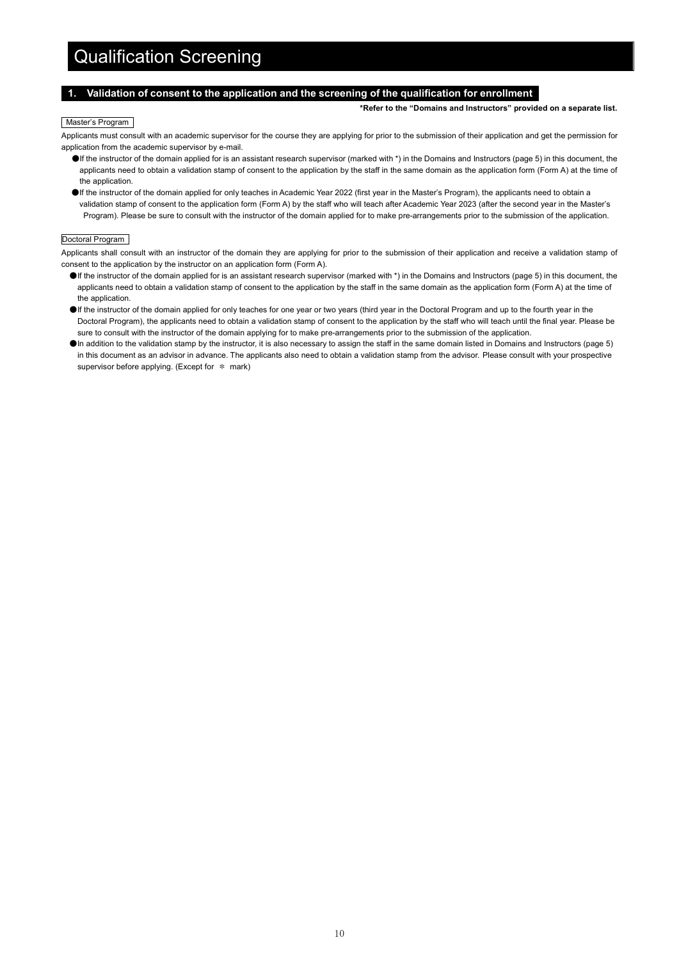# Qualification Screening

### **1. Validation of consent to the application and the screening of the qualification for enrollment**

**\*Refer to the "Domains and Instructors" provided on a separate list.**

### Master's Program

Applicants must consult with an academic supervisor for the course they are applying for prior to the submission of their application and get the permission for application from the academic supervisor by e-mail.

- ●If the instructor of the domain applied for is an assistant research supervisor (marked with \*) in the Domains and Instructors (page 5) in this document, the applicants need to obtain a validation stamp of consent to the application by the staff in the same domain as the application form (Form A) at the time of the application.
- ●If the instructor of the domain applied for only teaches in Academic Year 2022 (first year in the Master's Program), the applicants need to obtain a validation stamp of consent to the application form (Form A) by the staff who will teach after Academic Year 2023 (after the second year in the Master's Program). Please be sure to consult with the instructor of the domain applied for to make pre-arrangements prior to the submission of the application.

### Doctoral Program

Applicants shall consult with an instructor of the domain they are applying for prior to the submission of their application and receive a validation stamp of consent to the application by the instructor on an application form (Form A).

- ●If the instructor of the domain applied for is an assistant research supervisor (marked with \*) in the Domains and Instructors (page 5) in this document, the applicants need to obtain a validation stamp of consent to the application by the staff in the same domain as the application form (Form A) at the time of the application.
- ●If the instructor of the domain applied for only teaches for one year or two years (third year in the Doctoral Program and up to the fourth year in the Doctoral Program), the applicants need to obtain a validation stamp of consent to the application by the staff who will teach until the final year. Please be sure to consult with the instructor of the domain applying for to make pre-arrangements prior to the submission of the application.
- ●In addition to the validation stamp by the instructor, it is also necessary to assign the staff in the same domain listed in Domains and Instructors (page 5) in this document as an advisor in advance. The applicants also need to obtain a validation stamp from the advisor. Please consult with your prospective supervisor before applying. (Except for  $*$  mark)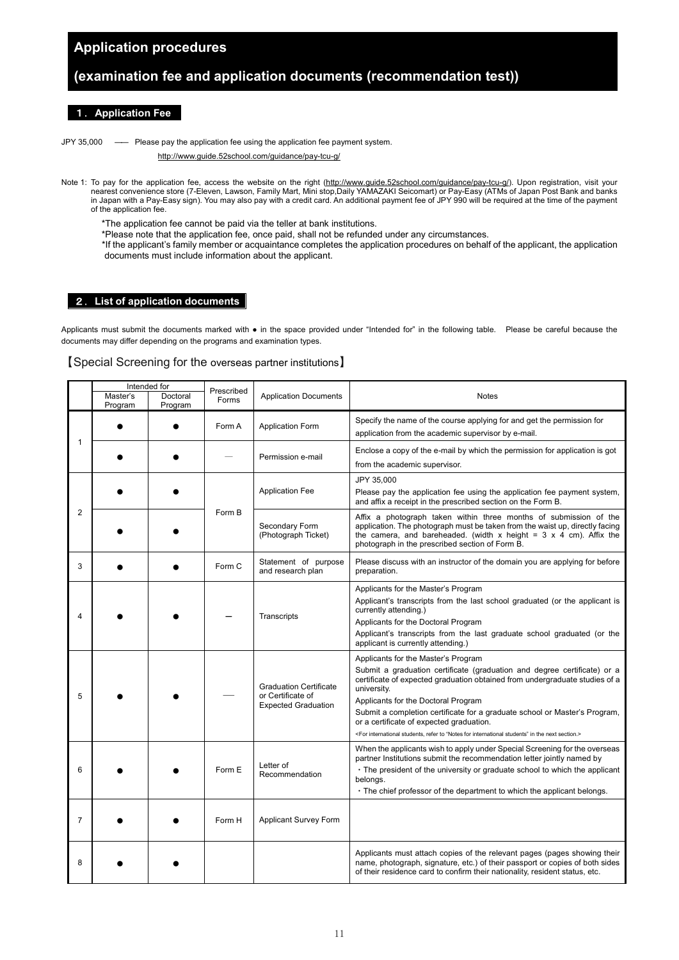# **Application procedures**

# **(examination fee and application documents (recommendation test))**

### 1.**Application Fee**

JPY 35,000 ―― Please pay the application fee using the application fee payment system.

<http://www.guide.52school.com/guidance/pay-tcu-g/>

- Note 1: To pay for the application fee, access the website on the right (http://www.quide.52school.com/quidance/pay-tcu-q/). Upon registration, visit your nearest convenience store (7-Eleven, Lawson, Family Mart, Mini stop,Daily YAMAZAKI Seicomart) or Pay-Easy (ATMs of Japan Post Bank and banks in Japan with a Pay-Easy sign). You may also pay with a credit card. An additional payment fee of JPY 990 will be required at the time of the payment of the application fee.
	- \*The application fee cannot be paid via the teller at bank institutions.
	- \*Please note that the application fee, once paid, shall not be refunded under any circumstances.
	- \*If the applicant's family member or acquaintance completes the application procedures on behalf of the applicant, the application documents must include information about the applicant.

### 2.**List of application documents**

Applicants must submit the documents marked with ● in the space provided under "Intended for" in the following table. Please be careful because the documents may differ depending on the programs and examination types.

### 【Special Screening for the overseas partner institutions】

|                | Intended for        |                     |                     |                                                                                  |                                                                                                                                                                                                                                                                                                                                                                                                                                                                                                           |
|----------------|---------------------|---------------------|---------------------|----------------------------------------------------------------------------------|-----------------------------------------------------------------------------------------------------------------------------------------------------------------------------------------------------------------------------------------------------------------------------------------------------------------------------------------------------------------------------------------------------------------------------------------------------------------------------------------------------------|
|                | Master's<br>Program | Doctoral<br>Program | Prescribed<br>Forms | <b>Application Documents</b>                                                     | Notes                                                                                                                                                                                                                                                                                                                                                                                                                                                                                                     |
|                |                     |                     | Form A              | <b>Application Form</b>                                                          | Specify the name of the course applying for and get the permission for<br>application from the academic supervisor by e-mail.                                                                                                                                                                                                                                                                                                                                                                             |
| 1              |                     |                     |                     | Permission e-mail                                                                | Enclose a copy of the e-mail by which the permission for application is got<br>from the academic supervisor.                                                                                                                                                                                                                                                                                                                                                                                              |
|                |                     |                     |                     | <b>Application Fee</b>                                                           | JPY 35,000<br>Please pay the application fee using the application fee payment system,<br>and affix a receipt in the prescribed section on the Form B.                                                                                                                                                                                                                                                                                                                                                    |
| $\overline{2}$ |                     |                     | Form B              | Secondary Form<br>(Photograph Ticket)                                            | Affix a photograph taken within three months of submission of the<br>application. The photograph must be taken from the waist up, directly facing<br>the camera, and bareheaded. (width x height = $3 \times 4$ cm). Affix the<br>photograph in the prescribed section of Form B.                                                                                                                                                                                                                         |
| 3              |                     |                     | Form C              | Statement of purpose<br>and research plan                                        | Please discuss with an instructor of the domain you are applying for before<br>preparation.                                                                                                                                                                                                                                                                                                                                                                                                               |
| 4              |                     |                     |                     | Transcripts                                                                      | Applicants for the Master's Program<br>Applicant's transcripts from the last school graduated (or the applicant is<br>currently attending.)<br>Applicants for the Doctoral Program<br>Applicant's transcripts from the last graduate school graduated (or the<br>applicant is currently attending.)                                                                                                                                                                                                       |
| 5              |                     |                     |                     | <b>Graduation Certificate</b><br>or Certificate of<br><b>Expected Graduation</b> | Applicants for the Master's Program<br>Submit a graduation certificate (graduation and degree certificate) or a<br>certificate of expected graduation obtained from undergraduate studies of a<br>university.<br>Applicants for the Doctoral Program<br>Submit a completion certificate for a graduate school or Master's Program,<br>or a certificate of expected graduation.<br><for "notes="" for="" in="" international="" next="" refer="" section.="" students"="" students,="" the="" to=""></for> |
| 6              |                     |                     | Form E              | Letter of<br>Recommendation                                                      | When the applicants wish to apply under Special Screening for the overseas<br>partner Institutions submit the recommendation letter jointly named by<br>• The president of the university or graduate school to which the applicant<br>belongs.<br>. The chief professor of the department to which the applicant belongs.                                                                                                                                                                                |
| $\overline{7}$ |                     |                     | Form H              | Applicant Survey Form                                                            |                                                                                                                                                                                                                                                                                                                                                                                                                                                                                                           |
| 8              |                     |                     |                     |                                                                                  | Applicants must attach copies of the relevant pages (pages showing their<br>name, photograph, signature, etc.) of their passport or copies of both sides<br>of their residence card to confirm their nationality, resident status, etc.                                                                                                                                                                                                                                                                   |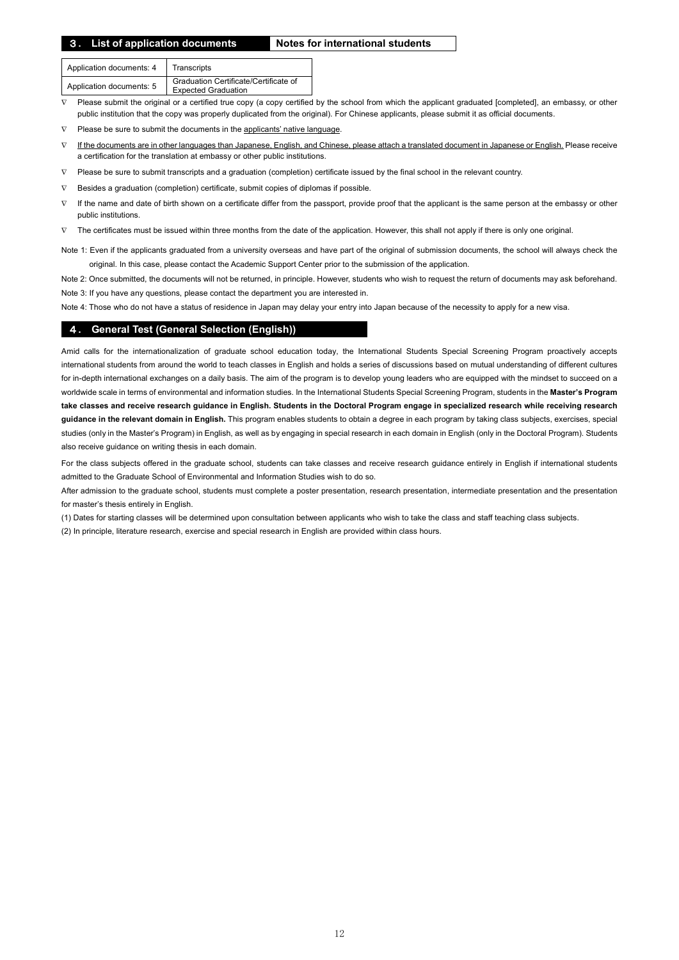### 3**. List of application documents Notes for international students**

| Application documents: 4 | Transcripts                                                         |
|--------------------------|---------------------------------------------------------------------|
| Application documents: 5 | Graduation Certificate/Certificate of<br><b>Expected Graduation</b> |

Please submit the original or a certified true copy (a copy certified by the school from which the applicant graduated [completed], an embassy, or other public institution that the copy was properly duplicated from the original). For Chinese applicants, please submit it as official documents.

∇ Please be sure to submit the documents in the applicants' native language.

- If the documents are in other languages than Japanese, English, and Chinese, please attach a translated document in Japanese or English. Please receive a certification for the translation at embassy or other public institutions.
- Please be sure to submit transcripts and a graduation (completion) certificate issued by the final school in the relevant country.
- ∇ Besides a graduation (completion) certificate, submit copies of diplomas if possible.
- ∇ If the name and date of birth shown on a certificate differ from the passport, provide proof that the applicant is the same person at the embassy or other public institutions.
- The certificates must be issued within three months from the date of the application. However, this shall not apply if there is only one original.

Note 1: Even if the applicants graduated from a university overseas and have part of the original of submission documents, the school will always check the original. In this case, please contact the Academic Support Center prior to the submission of the application.

Note 2: Once submitted, the documents will not be returned, in principle. However, students who wish to request the return of documents may ask beforehand. Note 3: If you have any questions, please contact the department you are interested in.

Note 4: Those who do not have a status of residence in Japan may delay your entry into Japan because of the necessity to apply for a new visa.

### 4**. General Test (General Selection (English))**

Amid calls for the internationalization of graduate school education today, the International Students Special Screening Program proactively accepts international students from around the world to teach classes in English and holds a series of discussions based on mutual understanding of different cultures for in-depth international exchanges on a daily basis. The aim of the program is to develop young leaders who are equipped with the mindset to succeed on a worldwide scale in terms of environmental and information studies. In the International Students Special Screening Program, students in the **Master's Program take classes and receive research guidance in English. Students in the Doctoral Program engage in specialized research while receiving research guidance in the relevant domain in English.** This program enables students to obtain a degree in each program by taking class subjects, exercises, special studies (only in the Master's Program) in English, as well as by engaging in special research in each domain in English (only in the Doctoral Program). Students also receive guidance on writing thesis in each domain.

For the class subjects offered in the graduate school, students can take classes and receive research guidance entirely in English if international students admitted to the Graduate School of Environmental and Information Studies wish to do so.

After admission to the graduate school, students must complete a poster presentation, research presentation, intermediate presentation and the presentation for master's thesis entirely in English.

(1) Dates for starting classes will be determined upon consultation between applicants who wish to take the class and staff teaching class subjects. (2) In principle, literature research, exercise and special research in English are provided within class hours.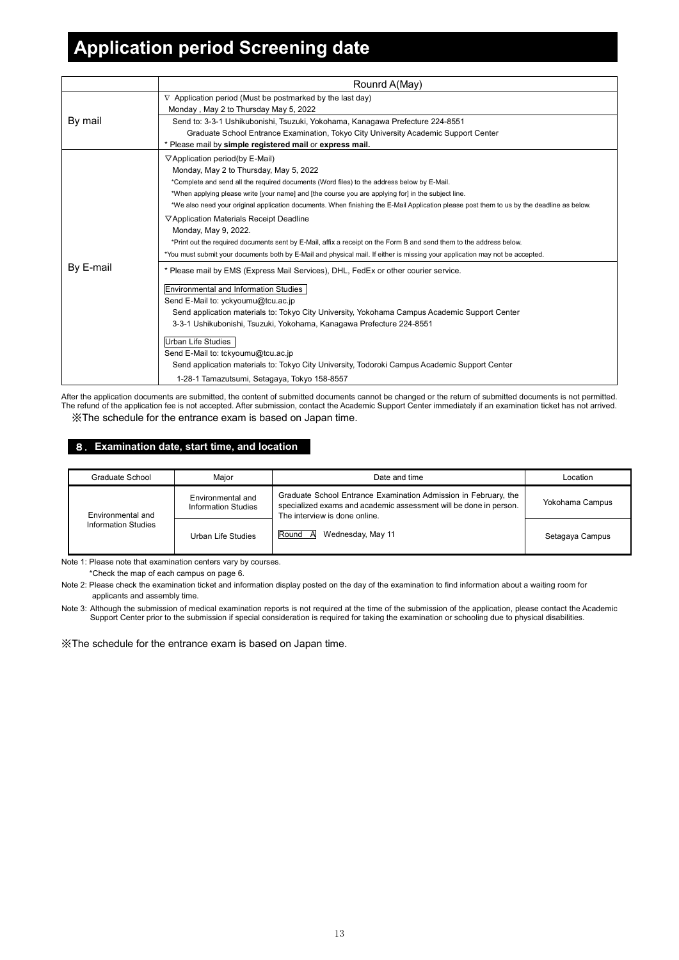# **Application period Screening date**

|           | Rounrd A(May)                                                                                                                             |  |  |  |  |
|-----------|-------------------------------------------------------------------------------------------------------------------------------------------|--|--|--|--|
|           | $\nabla$ Application period (Must be postmarked by the last day)                                                                          |  |  |  |  |
|           | Monday, May 2 to Thursday May 5, 2022                                                                                                     |  |  |  |  |
| By mail   | Send to: 3-3-1 Ushikubonishi, Tsuzuki, Yokohama, Kanagawa Prefecture 224-8551                                                             |  |  |  |  |
|           | Graduate School Entrance Examination, Tokyo City University Academic Support Center                                                       |  |  |  |  |
|           | * Please mail by simple registered mail or express mail.                                                                                  |  |  |  |  |
|           | $\nabla$ Application period(by E-Mail)                                                                                                    |  |  |  |  |
|           | Monday, May 2 to Thursday, May 5, 2022                                                                                                    |  |  |  |  |
|           | *Complete and send all the required documents (Word files) to the address below by E-Mail.                                                |  |  |  |  |
|           | *When applying please write [your name] and [the course you are applying for] in the subject line.                                        |  |  |  |  |
|           | *We also need your original application documents. When finishing the E-Mail Application please post them to us by the deadline as below. |  |  |  |  |
|           | ▽Application Materials Receipt Deadline                                                                                                   |  |  |  |  |
|           | Monday, May 9, 2022.                                                                                                                      |  |  |  |  |
|           | *Print out the required documents sent by E-Mail, affix a receipt on the Form B and send them to the address below.                       |  |  |  |  |
|           | *You must submit your documents both by E-Mail and physical mail. If either is missing your application may not be accepted.              |  |  |  |  |
| By E-mail | * Please mail by EMS (Express Mail Services), DHL, FedEx or other courier service.                                                        |  |  |  |  |
|           | <b>Environmental and Information Studies</b>                                                                                              |  |  |  |  |
|           | Send E-Mail to: yckyoumu@tcu.ac.jp                                                                                                        |  |  |  |  |
|           | Send application materials to: Tokyo City University, Yokohama Campus Academic Support Center                                             |  |  |  |  |
|           | 3-3-1 Ushikubonishi, Tsuzuki, Yokohama, Kanagawa Prefecture 224-8551                                                                      |  |  |  |  |
|           | <b>Urban Life Studies</b>                                                                                                                 |  |  |  |  |
|           | Send E-Mail to: tckyoumu@tcu.ac.jp                                                                                                        |  |  |  |  |
|           | Send application materials to: Tokyo City University, Todoroki Campus Academic Support Center                                             |  |  |  |  |
|           | 1-28-1 Tamazutsumi, Setagaya, Tokyo 158-8557                                                                                              |  |  |  |  |

After the application documents are submitted, the content of submitted documents cannot be changed or the return of submitted documents is not permitted. The refund of the application fee is not accepted. After submission, contact the Academic Support Center immediately if an examination ticket has not arrived. ※The schedule for the entrance exam is based on Japan time.

# 8.**Examination date, start time, and location**

| Graduate School     | Maior                                    | Date and time                                                                                                                                                         | Location        |
|---------------------|------------------------------------------|-----------------------------------------------------------------------------------------------------------------------------------------------------------------------|-----------------|
| Environmental and   | Environmental and<br>Information Studies | Graduate School Entrance Examination Admission in February, the<br>specialized exams and academic assessment will be done in person.<br>The interview is done online. | Yokohama Campus |
| Information Studies | Urban Life Studies                       | Round A<br>Wednesday, May 11                                                                                                                                          | Setagaya Campus |

Note 1: Please note that examination centers vary by courses.

\*Check the map of each campus on page 6.

Note 2: Please check the examination ticket and information display posted on the day of the examination to find information about a waiting room for applicants and assembly time.

Note 3: Although the submission of medical examination reports is not required at the time of the submission of the application, please contact the Academic Support Center prior to the submission if special consideration is required for taking the examination or schooling due to physical disabilities.

※The schedule for the entrance exam is based on Japan time.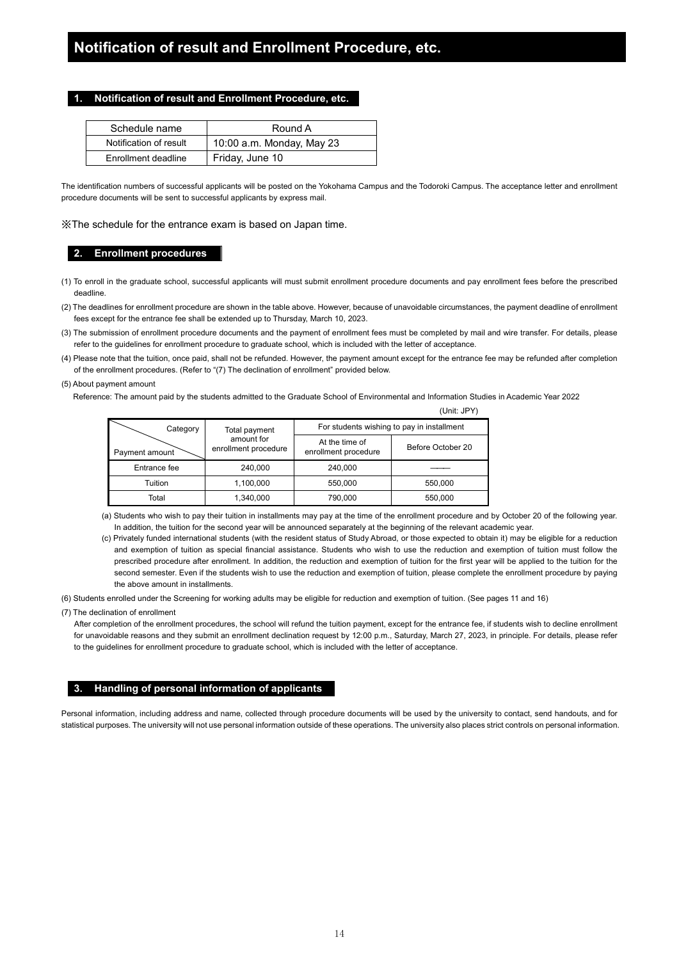### **1. Notification of result and Enrollment Procedure, etc.**

| Schedule name          | Round A                   |
|------------------------|---------------------------|
| Notification of result | 10:00 a.m. Monday, May 23 |
| Enrollment deadline    | Friday, June 10           |

The identification numbers of successful applicants will be posted on the Yokohama Campus and the Todoroki Campus. The acceptance letter and enrollment procedure documents will be sent to successful applicants by express mail.

※The schedule for the entrance exam is based on Japan time.

### **2. Enrollment procedures**

- (1) To enroll in the graduate school, successful applicants will must submit enrollment procedure documents and pay enrollment fees before the prescribed deadline.
- (2) The deadlines for enrollment procedure are shown in the table above. However, because of unavoidable circumstances, the payment deadline of enrollment fees except for the entrance fee shall be extended up to Thursday, March 10, 2023.
- (3) The submission of enrollment procedure documents and the payment of enrollment fees must be completed by mail and wire transfer. For details, please refer to the guidelines for enrollment procedure to graduate school, which is included with the letter of acceptance.
- (4) Please note that the tuition, once paid, shall not be refunded. However, the payment amount except for the entrance fee may be refunded after completion of the enrollment procedures. (Refer to "(7) The declination of enrollment" provided below.
- (5) About payment amount

Reference: The amount paid by the students admitted to the Graduate School of Environmental and Information Studies in Academic Year 2022

|                |                                    |                                            | 10111.50711       |  |  |
|----------------|------------------------------------|--------------------------------------------|-------------------|--|--|
| Category       | Total payment                      | For students wishing to pay in installment |                   |  |  |
| Payment amount | amount for<br>enrollment procedure | At the time of<br>enrollment procedure     | Before October 20 |  |  |
| Entrance fee   | 240.000                            | 240.000                                    |                   |  |  |
| Tuition        | 1,100,000                          | 550.000                                    | 550,000           |  |  |
| Total          | 1,340,000                          | 790,000                                    | 550,000           |  |  |

(a) Students who wish to pay their tuition in installments may pay at the time of the enrollment procedure and by October 20 of the following year. In addition, the tuition for the second year will be announced separately at the beginning of the relevant academic year.

 $(1 \text{lnit} \cdot 1)$ 

(c) Privately funded international students (with the resident status of Study Abroad, or those expected to obtain it) may be eligible for a reduction and exemption of tuition as special financial assistance. Students who wish to use the reduction and exemption of tuition must follow the prescribed procedure after enrollment. In addition, the reduction and exemption of tuition for the first year will be applied to the tuition for the second semester. Even if the students wish to use the reduction and exemption of tuition, please complete the enrollment procedure by paying the above amount in installments.

(6) Students enrolled under the Screening for working adults may be eligible for reduction and exemption of tuition. (See pages 11 and 16)

(7) The declination of enrollment

After completion of the enrollment procedures, the school will refund the tuition payment, except for the entrance fee, if students wish to decline enrollment for unavoidable reasons and they submit an enrollment declination request by 12:00 p.m., Saturday, March 27, 2023, in principle. For details, please refer to the guidelines for enrollment procedure to graduate school, which is included with the letter of acceptance.

### **3. Handling of personal information of applicants**

Personal information, including address and name, collected through procedure documents will be used by the university to contact, send handouts, and for statistical purposes. The university will not use personal information outside of these operations. The university also places strict controls on personal information.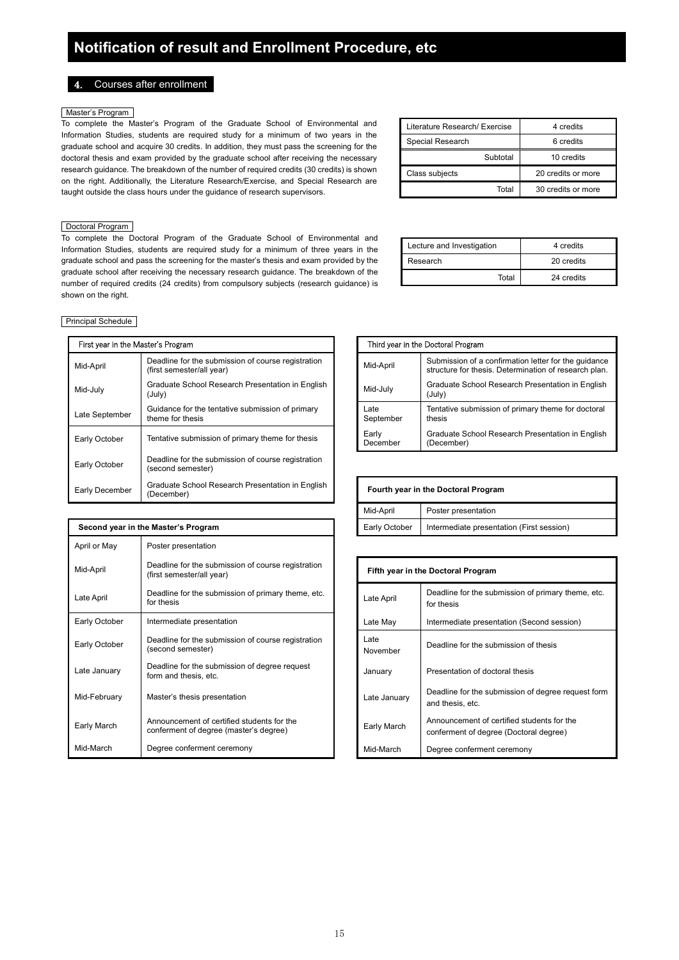### 4. Courses after enrollment

### Master's Program

To complete the Master's Program of the Graduate School of Environmental and Information Studies, students are required study for a minimum of two years in the graduate school and acquire 30 credits. In addition, they must pass the screening for the doctoral thesis and exam provided by the graduate school after receiving the necessary research guidance. The breakdown of the number of required credits (30 credits) is shown on the right. Additionally, the Literature Research/Exercise, and Special Research are taught outside the class hours under the guidance of research supervisors.

### Doctoral Program

To complete the Doctoral Program of the Graduate School of Environmental and Information Studies, students are required study for a minimum of three years in the graduate school and pass the screening for the master's thesis and exam provided by the graduate school after receiving the necessary research guidance. The breakdown of the number of required credits (24 credits) from compulsory subjects (research guidance) is shown on the right.

| Literature Research/ Exercise | 4 credits          |
|-------------------------------|--------------------|
| Special Research              | 6 credits          |
| Subtotal                      | 10 credits         |
| Class subjects                | 20 credits or more |
| Total                         | 30 credits or more |

| Lecture and Investigation | 4 credits  |
|---------------------------|------------|
| Research                  | 20 credits |
| Total                     | 24 credits |

### Principal Schedule

| First year in the Master's Program |                                                                                 |                   | Third year in the Doctoral Program                 |
|------------------------------------|---------------------------------------------------------------------------------|-------------------|----------------------------------------------------|
| Mid-April                          | Deadline for the submission of course registration<br>(first semester/all year) | Mid-April         | Submission of a confir<br>structure for thesis. De |
| Mid-July                           | Graduate School Research Presentation in English<br>(July)                      | Mid-July          | Graduate School Res<br>(July)                      |
| Late September                     | Guidance for the tentative submission of primary<br>theme for thesis            | Late<br>September | Tentative submission<br>thesis                     |
| Early October                      | Tentative submission of primary theme for thesis                                | Early<br>December | Graduate School Res<br>(December)                  |
| Early October                      | Deadline for the submission of course registration<br>(second semester)         |                   |                                                    |
| Early December                     | Graduate School Research Presentation in English<br>(December)                  |                   | Fourth year in the Doctoral Program                |

| ster's Program                                                                  |                   | Third year in the Doctoral Program                                                                            |
|---------------------------------------------------------------------------------|-------------------|---------------------------------------------------------------------------------------------------------------|
| Deadline for the submission of course registration<br>(first semester/all year) | Mid-April         | Submission of a confirmation letter for the quidance<br>structure for thesis. Determination of research plan. |
| Graduate School Research Presentation in English<br>(July)                      | Mid-July          | Graduate School Research Presentation in English<br>(July)                                                    |
| Guidance for the tentative submission of primary<br>theme for thesis            | Late<br>September | Tentative submission of primary theme for doctoral<br>thesis                                                  |
| Tentative submission of primary theme for thesis                                | Early<br>December | Graduate School Research Presentation in English<br>(December)                                                |
|                                                                                 |                   |                                                                                                               |

| Fourth year in the Doctoral Program                               |                     |  |  |  |
|-------------------------------------------------------------------|---------------------|--|--|--|
| Mid-April                                                         | Poster presentation |  |  |  |
| Intermediate presentation (First session)<br><b>Early October</b> |                     |  |  |  |

| Mid-April     | Deadline for the submission of course registration<br>(first semester/all year)      | Fifth year in the Doctoral Program |                                                                                      |  |
|---------------|--------------------------------------------------------------------------------------|------------------------------------|--------------------------------------------------------------------------------------|--|
| Late April    | Deadline for the submission of primary theme, etc.<br>for thesis                     | Late April                         | Deadline for the submission of primary theme, etc.<br>for thesis                     |  |
| Early October | Intermediate presentation                                                            | Late May                           | Intermediate presentation (Second session)                                           |  |
| Early October | Deadline for the submission of course registration<br>(second semester)              | Late<br>November                   | Deadline for the submission of thesis                                                |  |
| Late January  | Deadline for the submission of degree request<br>form and thesis, etc.               | January                            | Presentation of doctoral thesis                                                      |  |
| Mid-February  | Master's thesis presentation                                                         | Late January                       | Deadline for the submission of degree request form<br>and thesis, etc.               |  |
| Early March   | Announcement of certified students for the<br>conferment of degree (master's degree) | Early March                        | Announcement of certified students for the<br>conferment of degree (Doctoral degree) |  |
| Mid-March     | Degree conferment ceremony                                                           | Mid-March                          | Degree conferment ceremony                                                           |  |

| Second year in the Master's Program |                                                                                      |                                    | Early October    | Intermediate presentation (First session)                                            |
|-------------------------------------|--------------------------------------------------------------------------------------|------------------------------------|------------------|--------------------------------------------------------------------------------------|
| April or May                        | Poster presentation                                                                  |                                    |                  |                                                                                      |
| Mid-April                           | Deadline for the submission of course registration<br>(first semester/all year)      | Fifth year in the Doctoral Program |                  |                                                                                      |
| Late April                          | Deadline for the submission of primary theme, etc.<br>for thesis                     |                                    | Late April       | Deadline for the submission of primary them<br>for thesis                            |
| Early October                       | Intermediate presentation                                                            |                                    | Late May         | Intermediate presentation (Second session)                                           |
| Early October                       | Deadline for the submission of course registration<br>(second semester)              |                                    | Late<br>November | Deadline for the submission of thesis                                                |
| Late January                        | Deadline for the submission of degree request<br>form and thesis, etc.               |                                    | January          | Presentation of doctoral thesis                                                      |
| Mid-February                        | Master's thesis presentation                                                         |                                    | Late January     | Deadline for the submission of degree reque<br>and thesis, etc.                      |
| Early March                         | Announcement of certified students for the<br>conferment of degree (master's degree) |                                    | Early March      | Announcement of certified students for the<br>conferment of degree (Doctoral degree) |
| Mid-March                           | Degree conferment ceremony                                                           |                                    | Mid-March        | Degree conferment ceremony                                                           |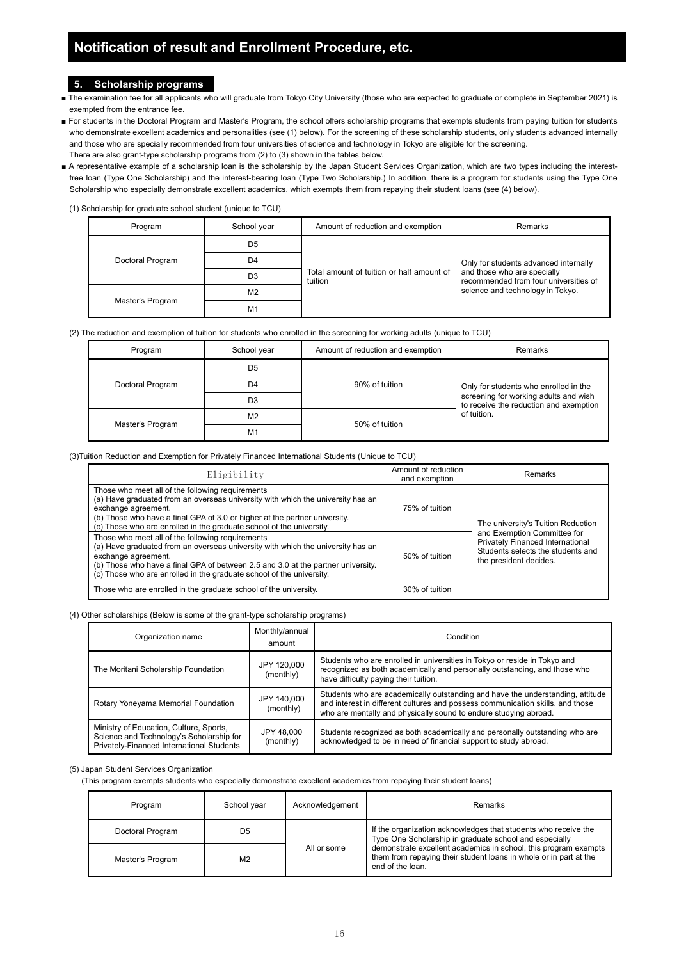### **5. Scholarship programs**

- The examination fee for all applicants who will graduate from Tokyo City University (those who are expected to graduate or complete in September 2021) is exempted from the entrance fee.
- For students in the Doctoral Program and Master's Program, the school offers scholarship programs that exempts students from paying tuition for students who demonstrate excellent academics and personalities (see (1) below). For the screening of these scholarship students, only students advanced internally and those who are specially recommended from four universities of science and technology in Tokyo are eligible for the screening. There are also grant-type scholarship programs from (2) to (3) shown in the tables below.
- A representative example of a scholarship loan is the scholarship by the Japan Student Services Organization, which are two types including the interestfree loan (Type One Scholarship) and the interest-bearing loan (Type Two Scholarship.) In addition, there is a program for students using the Type One Scholarship who especially demonstrate excellent academics, which exempts them from repaying their student loans (see (4) below).

(1) Scholarship for graduate school student (unique to TCU)

| Program          | School year    | Amount of reduction and exemption                    | Remarks                                                                                                       |  |
|------------------|----------------|------------------------------------------------------|---------------------------------------------------------------------------------------------------------------|--|
|                  | D <sub>5</sub> |                                                      |                                                                                                               |  |
| Doctoral Program | D4             |                                                      | Only for students advanced internally<br>and those who are specially<br>recommended from four universities of |  |
|                  | D <sub>3</sub> | Total amount of tuition or half amount of<br>tuition |                                                                                                               |  |
| Master's Program | M <sub>2</sub> |                                                      | science and technology in Tokyo.                                                                              |  |
|                  | M <sub>1</sub> |                                                      |                                                                                                               |  |

(2) The reduction and exemption of tuition for students who enrolled in the screening for working adults (unique to TCU)

| Program          | School year    | Amount of reduction and exemption | <b>Remarks</b>                                                                                                                          |
|------------------|----------------|-----------------------------------|-----------------------------------------------------------------------------------------------------------------------------------------|
| Doctoral Program | D5             | 90% of tuition                    | Only for students who enrolled in the<br>screening for working adults and wish<br>to receive the reduction and exemption<br>of tuition. |
|                  | D4             |                                   |                                                                                                                                         |
|                  | D3             |                                   |                                                                                                                                         |
| Master's Program | M <sub>2</sub> | 50% of tuition                    |                                                                                                                                         |
|                  | M <sub>1</sub> |                                   |                                                                                                                                         |

(3)Tuition Reduction and Exemption for Privately Financed International Students (Unique to TCU)

| Eligibility                                                                                                                                                                                                                                                                                                            | Amount of reduction<br>and exemption | Remarks                                                                                                                                                              |
|------------------------------------------------------------------------------------------------------------------------------------------------------------------------------------------------------------------------------------------------------------------------------------------------------------------------|--------------------------------------|----------------------------------------------------------------------------------------------------------------------------------------------------------------------|
| Those who meet all of the following requirements<br>(a) Have graduated from an overseas university with which the university has an<br>exchange agreement.<br>(b) Those who have a final GPA of 3.0 or higher at the partner university.<br>(c) Those who are enrolled in the graduate school of the university.       | 75% of tuition                       | The university's Tuition Reduction<br>and Exemption Committee for<br>Privately Financed International<br>Students selects the students and<br>the president decides. |
| Those who meet all of the following requirements<br>(a) Have graduated from an overseas university with which the university has an<br>exchange agreement.<br>(b) Those who have a final GPA of between 2.5 and 3.0 at the partner university.<br>(c) Those who are enrolled in the graduate school of the university. | 50% of tuition                       |                                                                                                                                                                      |
| Those who are enrolled in the graduate school of the university.                                                                                                                                                                                                                                                       | 30% of tuition                       |                                                                                                                                                                      |

(4) Other scholarships (Below is some of the grant-type scholarship programs)

| Organization name                                                                                                                | Monthly/annual<br>amount | Condition                                                                                                                                                                                                                            |  |
|----------------------------------------------------------------------------------------------------------------------------------|--------------------------|--------------------------------------------------------------------------------------------------------------------------------------------------------------------------------------------------------------------------------------|--|
| The Moritani Scholarship Foundation                                                                                              | JPY 120,000<br>(monthly) | Students who are enrolled in universities in Tokyo or reside in Tokyo and<br>recognized as both academically and personally outstanding, and those who<br>have difficulty paying their tuition.                                      |  |
| Rotary Yoneyama Memorial Foundation                                                                                              | JPY 140,000<br>(monthly) | Students who are academically outstanding and have the understanding, attitude<br>and interest in different cultures and possess communication skills, and those<br>who are mentally and physically sound to endure studying abroad. |  |
| Ministry of Education, Culture, Sports,<br>Science and Technology's Scholarship for<br>Privately-Financed International Students | JPY 48,000<br>(monthly)  | Students recognized as both academically and personally outstanding who are<br>acknowledged to be in need of financial support to study abroad.                                                                                      |  |

### (5) Japan Student Services Organization

(This program exempts students who especially demonstrate excellent academics from repaying their student loans)

| Program          | School vear    | Acknowledgement | Remarks                                                                                                                                                  |  |
|------------------|----------------|-----------------|----------------------------------------------------------------------------------------------------------------------------------------------------------|--|
| Doctoral Program | D5             |                 | If the organization acknowledges that students who receive the<br>Type One Scholarship in graduate school and especially                                 |  |
| Master's Program | M <sub>2</sub> | All or some     | demonstrate excellent academics in school, this program exempts<br>them from repaying their student loans in whole or in part at the<br>end of the loan. |  |